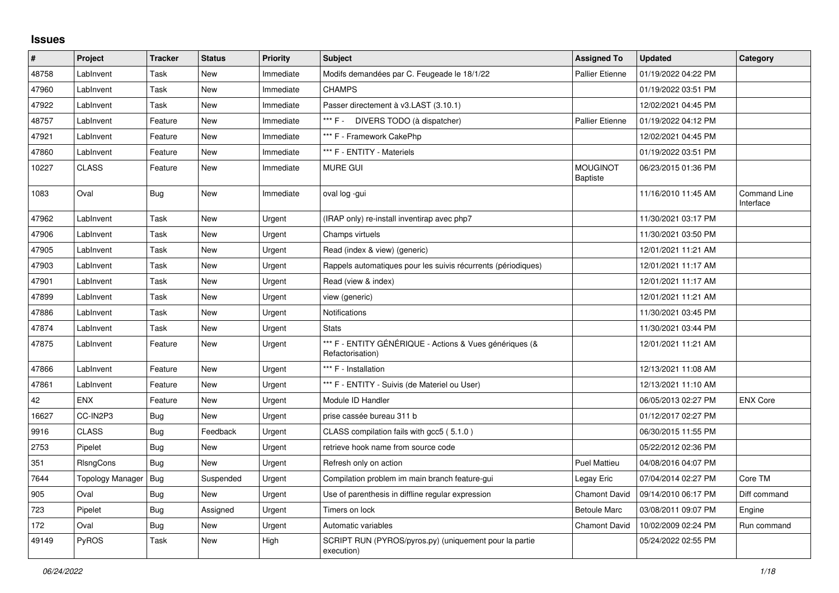## **Issues**

| $\vert$ # | Project          | <b>Tracker</b> | <b>Status</b> | <b>Priority</b> | <b>Subject</b>                                                              | <b>Assigned To</b>                 | <b>Updated</b>      | Category                         |
|-----------|------------------|----------------|---------------|-----------------|-----------------------------------------------------------------------------|------------------------------------|---------------------|----------------------------------|
| 48758     | LabInvent        | Task           | <b>New</b>    | Immediate       | Modifs demandées par C. Feugeade le 18/1/22                                 | <b>Pallier Etienne</b>             | 01/19/2022 04:22 PM |                                  |
| 47960     | LabInvent        | Task           | <b>New</b>    | Immediate       | <b>CHAMPS</b>                                                               |                                    | 01/19/2022 03:51 PM |                                  |
| 47922     | LabInvent        | Task           | New           | Immediate       | Passer directement à v3.LAST (3.10.1)                                       |                                    | 12/02/2021 04:45 PM |                                  |
| 48757     | LabInvent        | Feature        | New           | Immediate       | *** F - 1<br>DIVERS TODO (à dispatcher)                                     | <b>Pallier Etienne</b>             | 01/19/2022 04:12 PM |                                  |
| 47921     | LabInvent        | Feature        | New           | Immediate       | *** F - Framework CakePhp                                                   |                                    | 12/02/2021 04:45 PM |                                  |
| 47860     | LabInvent        | Feature        | <b>New</b>    | Immediate       | *** F - ENTITY - Materiels                                                  |                                    | 01/19/2022 03:51 PM |                                  |
| 10227     | <b>CLASS</b>     | Feature        | New           | Immediate       | MURE GUI                                                                    | <b>MOUGINOT</b><br><b>Baptiste</b> | 06/23/2015 01:36 PM |                                  |
| 1083      | Oval             | <b>Bug</b>     | New           | Immediate       | oval log -gui                                                               |                                    | 11/16/2010 11:45 AM | <b>Command Line</b><br>Interface |
| 47962     | LabInvent        | Task           | New           | Urgent          | (IRAP only) re-install inventirap avec php7                                 |                                    | 11/30/2021 03:17 PM |                                  |
| 47906     | LabInvent        | Task           | New           | Urgent          | Champs virtuels                                                             |                                    | 11/30/2021 03:50 PM |                                  |
| 47905     | LabInvent        | Task           | New           | Urgent          | Read (index & view) (generic)                                               |                                    | 12/01/2021 11:21 AM |                                  |
| 47903     | LabInvent        | Task           | <b>New</b>    | Urgent          | Rappels automatiques pour les suivis récurrents (périodiques)               |                                    | 12/01/2021 11:17 AM |                                  |
| 47901     | LabInvent        | Task           | New           | Urgent          | Read (view & index)                                                         |                                    | 12/01/2021 11:17 AM |                                  |
| 47899     | LabInvent        | Task           | <b>New</b>    | Urgent          | view (generic)                                                              |                                    | 12/01/2021 11:21 AM |                                  |
| 47886     | LabInvent        | Task           | New           | Urgent          | Notifications                                                               |                                    | 11/30/2021 03:45 PM |                                  |
| 47874     | LabInvent        | Task           | New           | Urgent          | <b>Stats</b>                                                                |                                    | 11/30/2021 03:44 PM |                                  |
| 47875     | LabInvent        | Feature        | New           | Urgent          | *** F - ENTITY GÉNÉRIQUE - Actions & Vues génériques (&<br>Refactorisation) |                                    | 12/01/2021 11:21 AM |                                  |
| 47866     | LabInvent        | Feature        | New           | Urgent          | *** F - Installation                                                        |                                    | 12/13/2021 11:08 AM |                                  |
| 47861     | LabInvent        | Feature        | <b>New</b>    | Urgent          | *** F - ENTITY - Suivis (de Materiel ou User)                               |                                    | 12/13/2021 11:10 AM |                                  |
| 42        | <b>ENX</b>       | Feature        | <b>New</b>    | Urgent          | Module ID Handler                                                           |                                    | 06/05/2013 02:27 PM | <b>ENX Core</b>                  |
| 16627     | CC-IN2P3         | Bug            | New           | Urgent          | prise cassée bureau 311 b                                                   |                                    | 01/12/2017 02:27 PM |                                  |
| 9916      | <b>CLASS</b>     | Bug            | Feedback      | Urgent          | CLASS compilation fails with gcc5 (5.1.0)                                   |                                    | 06/30/2015 11:55 PM |                                  |
| 2753      | Pipelet          | Bug            | New           | Urgent          | retrieve hook name from source code                                         |                                    | 05/22/2012 02:36 PM |                                  |
| 351       | RIsngCons        | <b>Bug</b>     | New           | Urgent          | Refresh only on action                                                      | Puel Mattieu                       | 04/08/2016 04:07 PM |                                  |
| 7644      | Topology Manager | Bug            | Suspended     | Urgent          | Compilation problem im main branch feature-gui                              | Legay Eric                         | 07/04/2014 02:27 PM | Core TM                          |
| 905       | Oval             | <b>Bug</b>     | <b>New</b>    | Urgent          | Use of parenthesis in diffline regular expression                           | <b>Chamont David</b>               | 09/14/2010 06:17 PM | Diff command                     |
| 723       | Pipelet          | <b>Bug</b>     | Assigned      | Urgent          | Timers on lock                                                              | <b>Betoule Marc</b>                | 03/08/2011 09:07 PM | Engine                           |
| 172       | Oval             | <b>Bug</b>     | <b>New</b>    | Urgent          | Automatic variables                                                         | <b>Chamont David</b>               | 10/02/2009 02:24 PM | Run command                      |
| 49149     | <b>PyROS</b>     | Task           | New           | High            | SCRIPT RUN (PYROS/pyros.py) (uniquement pour la partie<br>execution)        |                                    | 05/24/2022 02:55 PM |                                  |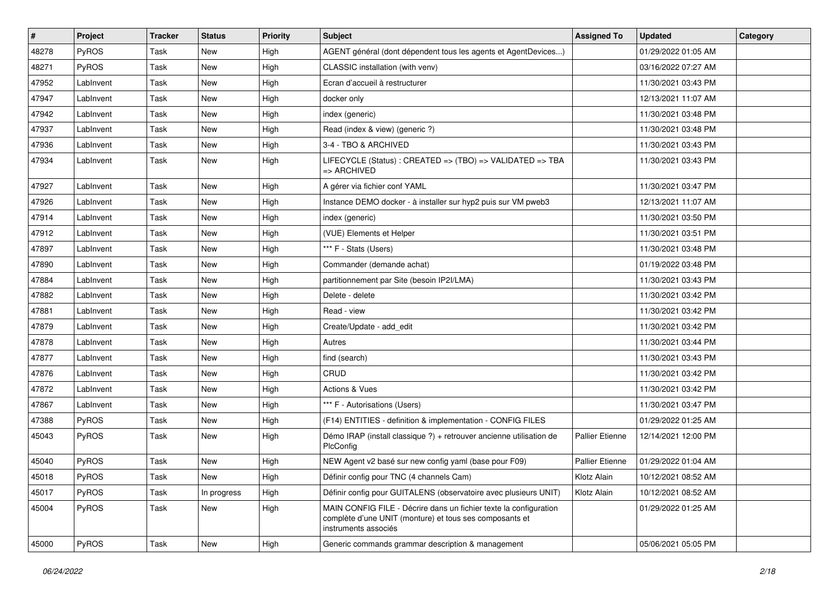| #     | Project      | <b>Tracker</b> | <b>Status</b> | <b>Priority</b> | <b>Subject</b>                                                                                                                                       | <b>Assigned To</b>     | <b>Updated</b>      | Category |
|-------|--------------|----------------|---------------|-----------------|------------------------------------------------------------------------------------------------------------------------------------------------------|------------------------|---------------------|----------|
| 48278 | <b>PyROS</b> | Task           | <b>New</b>    | High            | AGENT général (dont dépendent tous les agents et AgentDevices)                                                                                       |                        | 01/29/2022 01:05 AM |          |
| 48271 | <b>PyROS</b> | Task           | <b>New</b>    | High            | CLASSIC installation (with venv)                                                                                                                     |                        | 03/16/2022 07:27 AM |          |
| 47952 | LabInvent    | Task           | New           | High            | Ecran d'accueil à restructurer                                                                                                                       |                        | 11/30/2021 03:43 PM |          |
| 47947 | LabInvent    | Task           | New           | High            | docker only                                                                                                                                          |                        | 12/13/2021 11:07 AM |          |
| 47942 | LabInvent    | Task           | <b>New</b>    | High            | index (generic)                                                                                                                                      |                        | 11/30/2021 03:48 PM |          |
| 47937 | LabInvent    | Task           | New           | High            | Read (index & view) (generic ?)                                                                                                                      |                        | 11/30/2021 03:48 PM |          |
| 47936 | LabInvent    | Task           | <b>New</b>    | High            | 3-4 - TBO & ARCHIVED                                                                                                                                 |                        | 11/30/2021 03:43 PM |          |
| 47934 | LabInvent    | Task           | New           | High            | LIFECYCLE (Status) : CREATED => (TBO) => VALIDATED => TBA<br>=> ARCHIVED                                                                             |                        | 11/30/2021 03:43 PM |          |
| 47927 | LabInvent    | Task           | <b>New</b>    | High            | A gérer via fichier conf YAML                                                                                                                        |                        | 11/30/2021 03:47 PM |          |
| 47926 | LabInvent    | Task           | New           | High            | Instance DEMO docker - à installer sur hyp2 puis sur VM pweb3                                                                                        |                        | 12/13/2021 11:07 AM |          |
| 47914 | LabInvent    | Task           | New           | High            | index (generic)                                                                                                                                      |                        | 11/30/2021 03:50 PM |          |
| 47912 | LabInvent    | Task           | New           | High            | (VUE) Elements et Helper                                                                                                                             |                        | 11/30/2021 03:51 PM |          |
| 47897 | LabInvent    | Task           | New           | High            | *** F - Stats (Users)                                                                                                                                |                        | 11/30/2021 03:48 PM |          |
| 47890 | LabInvent    | Task           | <b>New</b>    | High            | Commander (demande achat)                                                                                                                            |                        | 01/19/2022 03:48 PM |          |
| 47884 | LabInvent    | Task           | New           | High            | partitionnement par Site (besoin IP2I/LMA)                                                                                                           |                        | 11/30/2021 03:43 PM |          |
| 47882 | LabInvent    | Task           | New           | High            | Delete - delete                                                                                                                                      |                        | 11/30/2021 03:42 PM |          |
| 47881 | LabInvent    | Task           | <b>New</b>    | High            | Read - view                                                                                                                                          |                        | 11/30/2021 03:42 PM |          |
| 47879 | LabInvent    | Task           | <b>New</b>    | High            | Create/Update - add edit                                                                                                                             |                        | 11/30/2021 03:42 PM |          |
| 47878 | LabInvent    | Task           | <b>New</b>    | High            | Autres                                                                                                                                               |                        | 11/30/2021 03:44 PM |          |
| 47877 | LabInvent    | Task           | New           | High            | find (search)                                                                                                                                        |                        | 11/30/2021 03:43 PM |          |
| 47876 | LabInvent    | Task           | New           | High            | CRUD                                                                                                                                                 |                        | 11/30/2021 03:42 PM |          |
| 47872 | LabInvent    | Task           | New           | High            | <b>Actions &amp; Vues</b>                                                                                                                            |                        | 11/30/2021 03:42 PM |          |
| 47867 | LabInvent    | Task           | New           | High            | *** F - Autorisations (Users)                                                                                                                        |                        | 11/30/2021 03:47 PM |          |
| 47388 | PyROS        | Task           | New           | High            | (F14) ENTITIES - definition & implementation - CONFIG FILES                                                                                          |                        | 01/29/2022 01:25 AM |          |
| 45043 | <b>PyROS</b> | Task           | New           | High            | Démo IRAP (install classique ?) + retrouver ancienne utilisation de<br>PlcConfig                                                                     | <b>Pallier Etienne</b> | 12/14/2021 12:00 PM |          |
| 45040 | PyROS        | Task           | <b>New</b>    | High            | NEW Agent v2 basé sur new config yaml (base pour F09)                                                                                                | Pallier Etienne        | 01/29/2022 01:04 AM |          |
| 45018 | PyROS        | Task           | New           | High            | Définir config pour TNC (4 channels Cam)                                                                                                             | Klotz Alain            | 10/12/2021 08:52 AM |          |
| 45017 | <b>PyROS</b> | Task           | In progress   | High            | Définir config pour GUITALENS (observatoire avec plusieurs UNIT)                                                                                     | Klotz Alain            | 10/12/2021 08:52 AM |          |
| 45004 | PyROS        | Task           | New           | High            | MAIN CONFIG FILE - Décrire dans un fichier texte la configuration<br>complète d'une UNIT (monture) et tous ses composants et<br>instruments associés |                        | 01/29/2022 01:25 AM |          |
| 45000 | PyROS        | Task           | New           | High            | Generic commands grammar description & management                                                                                                    |                        | 05/06/2021 05:05 PM |          |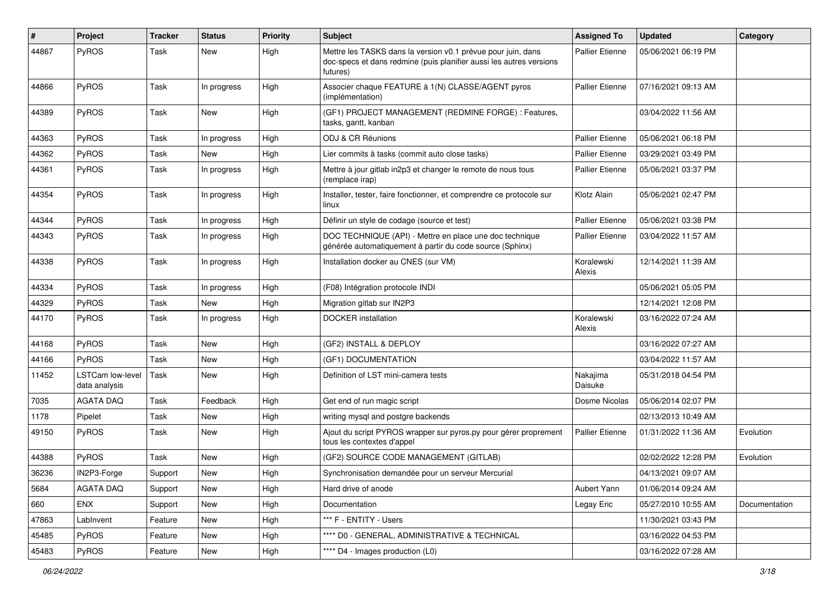| #     | Project                                  | <b>Tracker</b> | <b>Status</b> | <b>Priority</b> | <b>Subject</b>                                                                                                                                  | <b>Assigned To</b>     | <b>Updated</b>      | Category      |
|-------|------------------------------------------|----------------|---------------|-----------------|-------------------------------------------------------------------------------------------------------------------------------------------------|------------------------|---------------------|---------------|
| 44867 | PyROS                                    | Task           | New           | High            | Mettre les TASKS dans la version v0.1 prévue pour juin, dans<br>doc-specs et dans redmine (puis planifier aussi les autres versions<br>futures) | <b>Pallier Etienne</b> | 05/06/2021 06:19 PM |               |
| 44866 | PyROS                                    | Task           | In progress   | High            | Associer chaque FEATURE à 1(N) CLASSE/AGENT pyros<br>(implémentation)                                                                           | <b>Pallier Etienne</b> | 07/16/2021 09:13 AM |               |
| 44389 | PyROS                                    | Task           | New           | High            | (GF1) PROJECT MANAGEMENT (REDMINE FORGE) : Features,<br>tasks, gantt, kanban                                                                    |                        | 03/04/2022 11:56 AM |               |
| 44363 | PyROS                                    | Task           | In progress   | High            | ODJ & CR Réunions                                                                                                                               | Pallier Etienne        | 05/06/2021 06:18 PM |               |
| 44362 | PyROS                                    | Task           | New           | High            | Lier commits à tasks (commit auto close tasks)                                                                                                  | <b>Pallier Etienne</b> | 03/29/2021 03:49 PM |               |
| 44361 | PyROS                                    | Task           | In progress   | High            | Mettre à jour gitlab in2p3 et changer le remote de nous tous<br>(remplace irap)                                                                 | <b>Pallier Etienne</b> | 05/06/2021 03:37 PM |               |
| 44354 | PyROS                                    | Task           | In progress   | High            | Installer, tester, faire fonctionner, et comprendre ce protocole sur<br>linux                                                                   | Klotz Alain            | 05/06/2021 02:47 PM |               |
| 44344 | PyROS                                    | Task           | In progress   | High            | Définir un style de codage (source et test)                                                                                                     | <b>Pallier Etienne</b> | 05/06/2021 03:38 PM |               |
| 44343 | PyROS                                    | Task           | In progress   | High            | DOC TECHNIQUE (API) - Mettre en place une doc technique<br>générée automatiquement à partir du code source (Sphinx)                             | <b>Pallier Etienne</b> | 03/04/2022 11:57 AM |               |
| 44338 | PyROS                                    | Task           | In progress   | High            | Installation docker au CNES (sur VM)                                                                                                            | Koralewski<br>Alexis   | 12/14/2021 11:39 AM |               |
| 44334 | PyROS                                    | Task           | In progress   | High            | (F08) Intégration protocole INDI                                                                                                                |                        | 05/06/2021 05:05 PM |               |
| 44329 | PyROS                                    | Task           | New           | High            | Migration gitlab sur IN2P3                                                                                                                      |                        | 12/14/2021 12:08 PM |               |
| 44170 | PyROS                                    | Task           | In progress   | High            | <b>DOCKER</b> installation                                                                                                                      | Koralewski<br>Alexis   | 03/16/2022 07:24 AM |               |
| 44168 | PyROS                                    | Task           | <b>New</b>    | High            | (GF2) INSTALL & DEPLOY                                                                                                                          |                        | 03/16/2022 07:27 AM |               |
| 44166 | <b>PyROS</b>                             | Task           | <b>New</b>    | High            | (GF1) DOCUMENTATION                                                                                                                             |                        | 03/04/2022 11:57 AM |               |
| 11452 | <b>LSTCam low-level</b><br>data analysis | Task           | New           | High            | Definition of LST mini-camera tests                                                                                                             | Nakajima<br>Daisuke    | 05/31/2018 04:54 PM |               |
| 7035  | <b>AGATA DAQ</b>                         | Task           | Feedback      | High            | Get end of run magic script                                                                                                                     | Dosme Nicolas          | 05/06/2014 02:07 PM |               |
| 1178  | Pipelet                                  | Task           | <b>New</b>    | High            | writing mysql and postgre backends                                                                                                              |                        | 02/13/2013 10:49 AM |               |
| 49150 | PyROS                                    | Task           | New           | High            | Ajout du script PYROS wrapper sur pyros.py pour gérer proprement<br>tous les contextes d'appel                                                  | <b>Pallier Etienne</b> | 01/31/2022 11:36 AM | Evolution     |
| 44388 | PyROS                                    | Task           | <b>New</b>    | High            | (GF2) SOURCE CODE MANAGEMENT (GITLAB)                                                                                                           |                        | 02/02/2022 12:28 PM | Evolution     |
| 36236 | IN2P3-Forge                              | Support        | New           | High            | Synchronisation demandée pour un serveur Mercurial                                                                                              |                        | 04/13/2021 09:07 AM |               |
| 5684  | AGATA DAQ                                | Support        | New           | High            | Hard drive of anode                                                                                                                             | Aubert Yann            | 01/06/2014 09:24 AM |               |
| 660   | <b>ENX</b>                               | Support        | New           | High            | Documentation                                                                                                                                   | Legay Eric             | 05/27/2010 10:55 AM | Documentation |
| 47863 | LabInvent                                | Feature        | New           | High            | *** F - ENTITY - Users                                                                                                                          |                        | 11/30/2021 03:43 PM |               |
| 45485 | PyROS                                    | Feature        | New           | High            | **** D0 - GENERAL, ADMINISTRATIVE & TECHNICAL                                                                                                   |                        | 03/16/2022 04:53 PM |               |
| 45483 | PyROS                                    | Feature        | New           | High            | **** D4 - Images production (L0)                                                                                                                |                        | 03/16/2022 07:28 AM |               |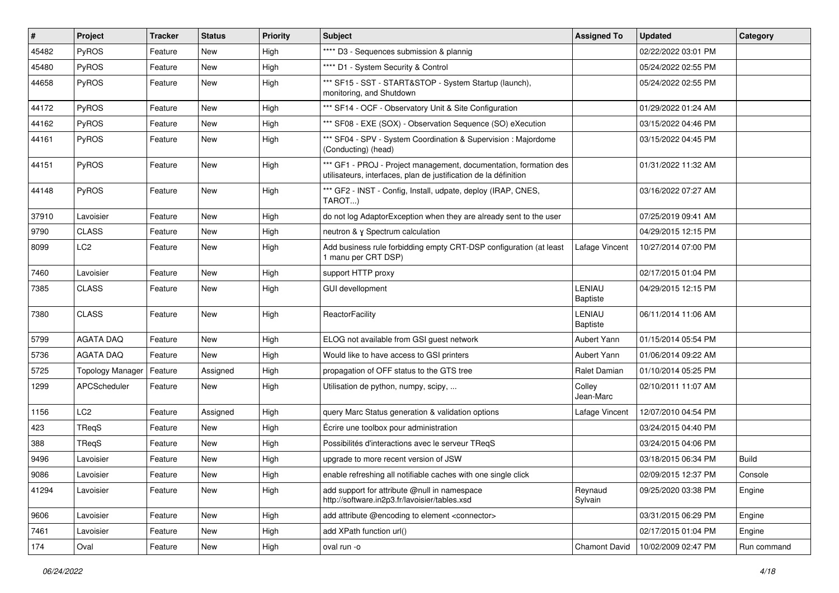| #     | Project                 | <b>Tracker</b> | <b>Status</b> | <b>Priority</b> | <b>Subject</b>                                                                                                                        | <b>Assigned To</b>               | <b>Updated</b>      | Category     |
|-------|-------------------------|----------------|---------------|-----------------|---------------------------------------------------------------------------------------------------------------------------------------|----------------------------------|---------------------|--------------|
| 45482 | <b>PyROS</b>            | Feature        | <b>New</b>    | High            | **** D3 - Sequences submission & plannig                                                                                              |                                  | 02/22/2022 03:01 PM |              |
| 45480 | PyROS                   | Feature        | <b>New</b>    | High            | **** D1 - System Security & Control                                                                                                   |                                  | 05/24/2022 02:55 PM |              |
| 44658 | <b>PyROS</b>            | Feature        | New           | High            | *** SF15 - SST - START&STOP - System Startup (launch),<br>monitoring, and Shutdown                                                    |                                  | 05/24/2022 02:55 PM |              |
| 44172 | <b>PyROS</b>            | Feature        | <b>New</b>    | High            | *** SF14 - OCF - Observatory Unit & Site Configuration                                                                                |                                  | 01/29/2022 01:24 AM |              |
| 44162 | <b>PyROS</b>            | Feature        | New           | High            | *** SF08 - EXE (SOX) - Observation Sequence (SO) eXecution                                                                            |                                  | 03/15/2022 04:46 PM |              |
| 44161 | PyROS                   | Feature        | <b>New</b>    | High            | *** SF04 - SPV - System Coordination & Supervision : Majordome<br>(Conducting) (head)                                                 |                                  | 03/15/2022 04:45 PM |              |
| 44151 | PyROS                   | Feature        | <b>New</b>    | High            | *** GF1 - PROJ - Project management, documentation, formation des<br>utilisateurs, interfaces, plan de justification de la définition |                                  | 01/31/2022 11:32 AM |              |
| 44148 | <b>PyROS</b>            | Feature        | New           | High            | *** GF2 - INST - Config, Install, udpate, deploy (IRAP, CNES,<br>TAROT)                                                               |                                  | 03/16/2022 07:27 AM |              |
| 37910 | Lavoisier               | Feature        | <b>New</b>    | High            | do not log AdaptorException when they are already sent to the user                                                                    |                                  | 07/25/2019 09:41 AM |              |
| 9790  | <b>CLASS</b>            | Feature        | New           | High            | neutron & y Spectrum calculation                                                                                                      |                                  | 04/29/2015 12:15 PM |              |
| 8099  | LC <sub>2</sub>         | Feature        | New           | High            | Add business rule forbidding empty CRT-DSP configuration (at least<br>1 manu per CRT DSP)                                             | Lafage Vincent                   | 10/27/2014 07:00 PM |              |
| 7460  | Lavoisier               | Feature        | <b>New</b>    | High            | support HTTP proxy                                                                                                                    |                                  | 02/17/2015 01:04 PM |              |
| 7385  | <b>CLASS</b>            | Feature        | New           | High            | <b>GUI devellopment</b>                                                                                                               | <b>LENIAU</b><br><b>Baptiste</b> | 04/29/2015 12:15 PM |              |
| 7380  | <b>CLASS</b>            | Feature        | New           | High            | ReactorFacility                                                                                                                       | LENIAU<br><b>Baptiste</b>        | 06/11/2014 11:06 AM |              |
| 5799  | AGATA DAQ               | Feature        | <b>New</b>    | High            | ELOG not available from GSI guest network                                                                                             | Aubert Yann                      | 01/15/2014 05:54 PM |              |
| 5736  | <b>AGATA DAQ</b>        | Feature        | New           | High            | Would like to have access to GSI printers                                                                                             | Aubert Yann                      | 01/06/2014 09:22 AM |              |
| 5725  | <b>Topology Manager</b> | Feature        | Assigned      | High            | propagation of OFF status to the GTS tree                                                                                             | Ralet Damian                     | 01/10/2014 05:25 PM |              |
| 1299  | APCScheduler            | Feature        | New           | High            | Utilisation de python, numpy, scipy,                                                                                                  | Colley<br>Jean-Marc              | 02/10/2011 11:07 AM |              |
| 1156  | LC <sub>2</sub>         | Feature        | Assigned      | High            | query Marc Status generation & validation options                                                                                     | Lafage Vincent                   | 12/07/2010 04:54 PM |              |
| 423   | TReqS                   | Feature        | New           | High            | Écrire une toolbox pour administration                                                                                                |                                  | 03/24/2015 04:40 PM |              |
| 388   | TReqS                   | Feature        | <b>New</b>    | High            | Possibilités d'interactions avec le serveur TReqS                                                                                     |                                  | 03/24/2015 04:06 PM |              |
| 9496  | Lavoisier               | Feature        | New           | High            | upgrade to more recent version of JSW                                                                                                 |                                  | 03/18/2015 06:34 PM | <b>Build</b> |
| 9086  | Lavoisier               | Feature        | New           | High            | enable refreshing all notifiable caches with one single click                                                                         |                                  | 02/09/2015 12:37 PM | Console      |
| 41294 | Lavoisier               | Feature        | New           | High            | add support for attribute @null in namespace<br>http://software.in2p3.fr/lavoisier/tables.xsd                                         | Reynaud<br>Sylvain               | 09/25/2020 03:38 PM | Engine       |
| 9606  | Lavoisier               | Feature        | New           | High            | add attribute @encoding to element <connector></connector>                                                                            |                                  | 03/31/2015 06:29 PM | Engine       |
| 7461  | Lavoisier               | Feature        | New           | High            | add XPath function url()                                                                                                              |                                  | 02/17/2015 01:04 PM | Engine       |
| 174   | Oval                    | Feature        | New           | High            | oval run -o                                                                                                                           | Chamont David                    | 10/02/2009 02:47 PM | Run command  |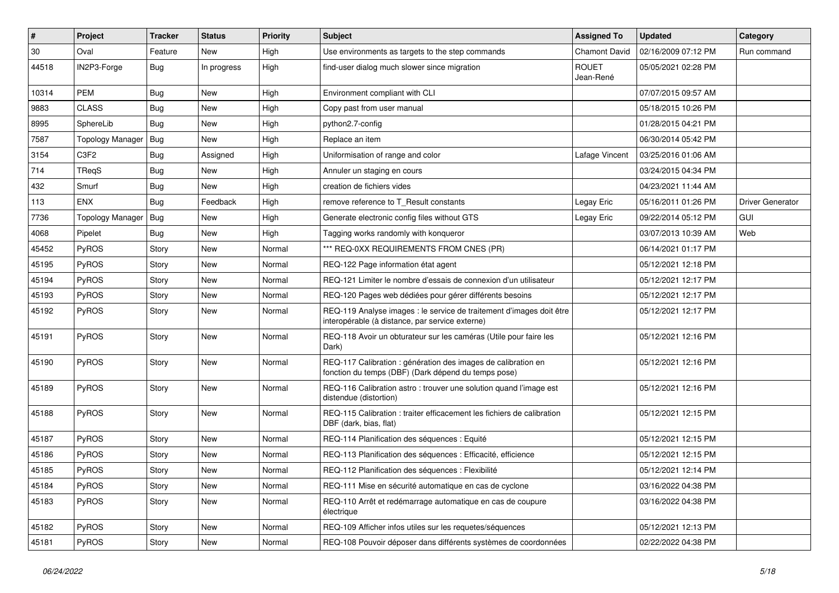| ∦     | Project                 | <b>Tracker</b> | <b>Status</b> | <b>Priority</b> | Subject                                                                                                                 | <b>Assigned To</b>        | <b>Updated</b>      | Category         |
|-------|-------------------------|----------------|---------------|-----------------|-------------------------------------------------------------------------------------------------------------------------|---------------------------|---------------------|------------------|
| 30    | Oval                    | Feature        | <b>New</b>    | High            | Use environments as targets to the step commands                                                                        | <b>Chamont David</b>      | 02/16/2009 07:12 PM | Run command      |
| 44518 | IN2P3-Forge             | <b>Bug</b>     | In progress   | High            | find-user dialog much slower since migration                                                                            | <b>ROUET</b><br>Jean-René | 05/05/2021 02:28 PM |                  |
| 10314 | <b>PEM</b>              | Bug            | <b>New</b>    | High            | Environment compliant with CLI                                                                                          |                           | 07/07/2015 09:57 AM |                  |
| 9883  | <b>CLASS</b>            | Bug            | <b>New</b>    | High            | Copy past from user manual                                                                                              |                           | 05/18/2015 10:26 PM |                  |
| 8995  | SphereLib               | Bug            | <b>New</b>    | High            | python2.7-config                                                                                                        |                           | 01/28/2015 04:21 PM |                  |
| 7587  | <b>Topology Manager</b> | Bug            | <b>New</b>    | High            | Replace an item                                                                                                         |                           | 06/30/2014 05:42 PM |                  |
| 3154  | C <sub>3F2</sub>        | <b>Bug</b>     | Assigned      | High            | Uniformisation of range and color                                                                                       | Lafage Vincent            | 03/25/2016 01:06 AM |                  |
| 714   | TReqS                   | <b>Bug</b>     | <b>New</b>    | High            | Annuler un staging en cours                                                                                             |                           | 03/24/2015 04:34 PM |                  |
| 432   | Smurf                   | Bug            | <b>New</b>    | High            | creation de fichiers vides                                                                                              |                           | 04/23/2021 11:44 AM |                  |
| 113   | <b>ENX</b>              | <b>Bug</b>     | Feedback      | High            | remove reference to T Result constants                                                                                  | Legay Eric                | 05/16/2011 01:26 PM | Driver Generator |
| 7736  | <b>Topology Manager</b> | Bug            | <b>New</b>    | High            | Generate electronic config files without GTS                                                                            | Legay Eric                | 09/22/2014 05:12 PM | GUI              |
| 4068  | Pipelet                 | <b>Bug</b>     | <b>New</b>    | High            | Tagging works randomly with kongueror                                                                                   |                           | 03/07/2013 10:39 AM | Web              |
| 45452 | <b>PyROS</b>            | Story          | <b>New</b>    | Normal          | *** REQ-0XX REQUIREMENTS FROM CNES (PR)                                                                                 |                           | 06/14/2021 01:17 PM |                  |
| 45195 | PyROS                   | Story          | <b>New</b>    | Normal          | REQ-122 Page information état agent                                                                                     |                           | 05/12/2021 12:18 PM |                  |
| 45194 | <b>PyROS</b>            | Story          | New           | Normal          | REQ-121 Limiter le nombre d'essais de connexion d'un utilisateur                                                        |                           | 05/12/2021 12:17 PM |                  |
| 45193 | <b>PyROS</b>            | Story          | <b>New</b>    | Normal          | REQ-120 Pages web dédiées pour gérer différents besoins                                                                 |                           | 05/12/2021 12:17 PM |                  |
| 45192 | <b>PyROS</b>            | Story          | <b>New</b>    | Normal          | REQ-119 Analyse images : le service de traitement d'images doit être<br>interopérable (à distance, par service externe) |                           | 05/12/2021 12:17 PM |                  |
| 45191 | <b>PyROS</b>            | Story          | <b>New</b>    | Normal          | REQ-118 Avoir un obturateur sur les caméras (Utile pour faire les<br>Dark)                                              |                           | 05/12/2021 12:16 PM |                  |
| 45190 | PyROS                   | Story          | <b>New</b>    | Normal          | REQ-117 Calibration : génération des images de calibration en<br>fonction du temps (DBF) (Dark dépend du temps pose)    |                           | 05/12/2021 12:16 PM |                  |
| 45189 | PyROS                   | Story          | <b>New</b>    | Normal          | REQ-116 Calibration astro: trouver une solution quand l'image est<br>distendue (distortion)                             |                           | 05/12/2021 12:16 PM |                  |
| 45188 | <b>PyROS</b>            | Story          | <b>New</b>    | Normal          | REQ-115 Calibration : traiter efficacement les fichiers de calibration<br>DBF (dark, bias, flat)                        |                           | 05/12/2021 12:15 PM |                  |
| 45187 | <b>PyROS</b>            | Story          | <b>New</b>    | Normal          | REQ-114 Planification des séquences : Equité                                                                            |                           | 05/12/2021 12:15 PM |                  |
| 45186 | <b>PyROS</b>            | Story          | <b>New</b>    | Normal          | REQ-113 Planification des séquences : Efficacité, efficience                                                            |                           | 05/12/2021 12:15 PM |                  |
| 45185 | <b>PyROS</b>            | Story          | New           | Normal          | REQ-112 Planification des séquences : Flexibilité                                                                       |                           | 05/12/2021 12:14 PM |                  |
| 45184 | PyROS                   | Story          | New           | Normal          | REQ-111 Mise en sécurité automatique en cas de cyclone                                                                  |                           | 03/16/2022 04:38 PM |                  |
| 45183 | <b>PyROS</b>            | Story          | New           | Normal          | REQ-110 Arrêt et redémarrage automatique en cas de coupure<br>électrique                                                |                           | 03/16/2022 04:38 PM |                  |
| 45182 | PyROS                   | Story          | New           | Normal          | REQ-109 Afficher infos utiles sur les requetes/séquences                                                                |                           | 05/12/2021 12:13 PM |                  |
| 45181 | PyROS                   | Story          | New           | Normal          | REQ-108 Pouvoir déposer dans différents systèmes de coordonnées                                                         |                           | 02/22/2022 04:38 PM |                  |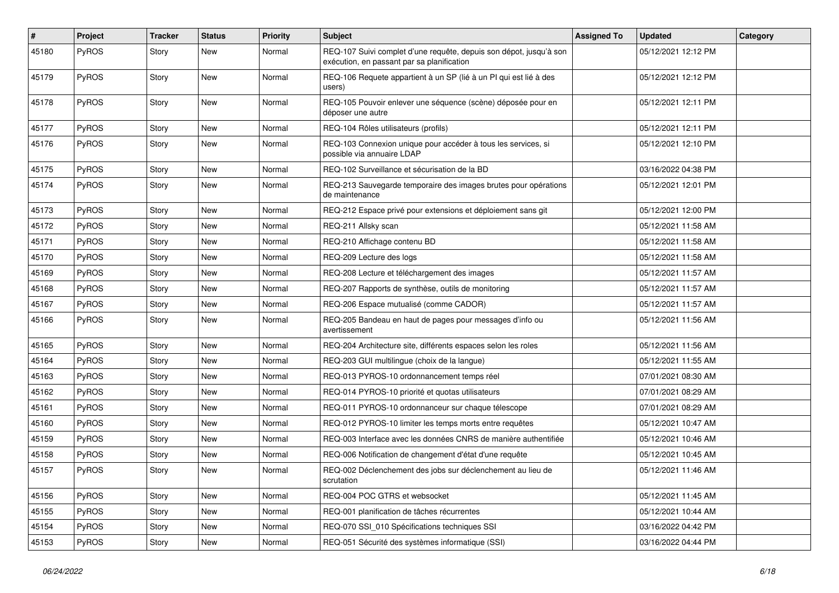| $\vert$ # | Project      | <b>Tracker</b> | <b>Status</b> | <b>Priority</b> | Subject                                                                                                          | <b>Assigned To</b> | <b>Updated</b>      | Category |
|-----------|--------------|----------------|---------------|-----------------|------------------------------------------------------------------------------------------------------------------|--------------------|---------------------|----------|
| 45180     | PyROS        | Story          | New           | Normal          | REQ-107 Suivi complet d'une requête, depuis son dépot, jusqu'à son<br>exécution, en passant par sa planification |                    | 05/12/2021 12:12 PM |          |
| 45179     | <b>PyROS</b> | Story          | New           | Normal          | REQ-106 Requete appartient à un SP (lié à un PI qui est lié à des<br>users)                                      |                    | 05/12/2021 12:12 PM |          |
| 45178     | PyROS        | Story          | <b>New</b>    | Normal          | REQ-105 Pouvoir enlever une séquence (scène) déposée pour en<br>déposer une autre                                |                    | 05/12/2021 12:11 PM |          |
| 45177     | PyROS        | Story          | <b>New</b>    | Normal          | REQ-104 Rôles utilisateurs (profils)                                                                             |                    | 05/12/2021 12:11 PM |          |
| 45176     | <b>PyROS</b> | Story          | <b>New</b>    | Normal          | REQ-103 Connexion unique pour accéder à tous les services, si<br>possible via annuaire LDAP                      |                    | 05/12/2021 12:10 PM |          |
| 45175     | PyROS        | Story          | <b>New</b>    | Normal          | REQ-102 Surveillance et sécurisation de la BD                                                                    |                    | 03/16/2022 04:38 PM |          |
| 45174     | <b>PyROS</b> | Story          | New           | Normal          | REQ-213 Sauvegarde temporaire des images brutes pour opérations<br>de maintenance                                |                    | 05/12/2021 12:01 PM |          |
| 45173     | <b>PyROS</b> | Story          | <b>New</b>    | Normal          | REQ-212 Espace privé pour extensions et déploiement sans git                                                     |                    | 05/12/2021 12:00 PM |          |
| 45172     | <b>PyROS</b> | Story          | <b>New</b>    | Normal          | REQ-211 Allsky scan                                                                                              |                    | 05/12/2021 11:58 AM |          |
| 45171     | <b>PyROS</b> | Story          | <b>New</b>    | Normal          | REQ-210 Affichage contenu BD                                                                                     |                    | 05/12/2021 11:58 AM |          |
| 45170     | PyROS        | Story          | New           | Normal          | REQ-209 Lecture des logs                                                                                         |                    | 05/12/2021 11:58 AM |          |
| 45169     | <b>PyROS</b> | Story          | <b>New</b>    | Normal          | REQ-208 Lecture et téléchargement des images                                                                     |                    | 05/12/2021 11:57 AM |          |
| 45168     | <b>PyROS</b> | Story          | <b>New</b>    | Normal          | REQ-207 Rapports de synthèse, outils de monitoring                                                               |                    | 05/12/2021 11:57 AM |          |
| 45167     | PyROS        | Story          | <b>New</b>    | Normal          | REQ-206 Espace mutualisé (comme CADOR)                                                                           |                    | 05/12/2021 11:57 AM |          |
| 45166     | PyROS        | Story          | New           | Normal          | REQ-205 Bandeau en haut de pages pour messages d'info ou<br>avertissement                                        |                    | 05/12/2021 11:56 AM |          |
| 45165     | <b>PyROS</b> | Story          | <b>New</b>    | Normal          | REQ-204 Architecture site, différents espaces selon les roles                                                    |                    | 05/12/2021 11:56 AM |          |
| 45164     | <b>PyROS</b> | Story          | <b>New</b>    | Normal          | REQ-203 GUI multilingue (choix de la langue)                                                                     |                    | 05/12/2021 11:55 AM |          |
| 45163     | <b>PyROS</b> | Story          | New           | Normal          | REQ-013 PYROS-10 ordonnancement temps réel                                                                       |                    | 07/01/2021 08:30 AM |          |
| 45162     | <b>PyROS</b> | Story          | <b>New</b>    | Normal          | REQ-014 PYROS-10 priorité et quotas utilisateurs                                                                 |                    | 07/01/2021 08:29 AM |          |
| 45161     | <b>PyROS</b> | Story          | <b>New</b>    | Normal          | REQ-011 PYROS-10 ordonnanceur sur chaque télescope                                                               |                    | 07/01/2021 08:29 AM |          |
| 45160     | <b>PyROS</b> | Story          | <b>New</b>    | Normal          | REQ-012 PYROS-10 limiter les temps morts entre requêtes                                                          |                    | 05/12/2021 10:47 AM |          |
| 45159     | <b>PyROS</b> | Story          | <b>New</b>    | Normal          | REQ-003 Interface avec les données CNRS de manière authentifiée                                                  |                    | 05/12/2021 10:46 AM |          |
| 45158     | PyROS        | Story          | New           | Normal          | REQ-006 Notification de changement d'état d'une requête                                                          |                    | 05/12/2021 10:45 AM |          |
| 45157     | <b>PyROS</b> | Story          | New           | Normal          | REQ-002 Déclenchement des jobs sur déclenchement au lieu de<br>scrutation                                        |                    | 05/12/2021 11:46 AM |          |
| 45156     | PyROS        | Story          | New           | Normal          | REQ-004 POC GTRS et websocket                                                                                    |                    | 05/12/2021 11:45 AM |          |
| 45155     | PyROS        | Story          | New           | Normal          | REQ-001 planification de tâches récurrentes                                                                      |                    | 05/12/2021 10:44 AM |          |
| 45154     | PyROS        | Story          | New           | Normal          | REQ-070 SSI 010 Spécifications techniques SSI                                                                    |                    | 03/16/2022 04:42 PM |          |
| 45153     | PyROS        | Story          | New           | Normal          | REQ-051 Sécurité des systèmes informatique (SSI)                                                                 |                    | 03/16/2022 04:44 PM |          |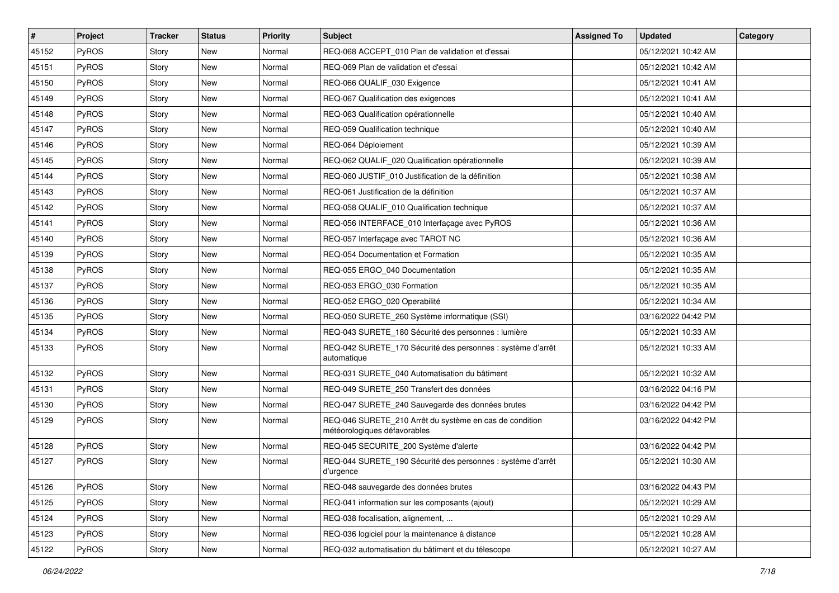| $\vert$ # | Project      | <b>Tracker</b> | <b>Status</b> | <b>Priority</b> | <b>Subject</b>                                                                          | <b>Assigned To</b> | <b>Updated</b>      | Category |
|-----------|--------------|----------------|---------------|-----------------|-----------------------------------------------------------------------------------------|--------------------|---------------------|----------|
| 45152     | PyROS        | Story          | New           | Normal          | REQ-068 ACCEPT_010 Plan de validation et d'essai                                        |                    | 05/12/2021 10:42 AM |          |
| 45151     | PyROS        | Story          | <b>New</b>    | Normal          | REQ-069 Plan de validation et d'essai                                                   |                    | 05/12/2021 10:42 AM |          |
| 45150     | PyROS        | Story          | New           | Normal          | REQ-066 QUALIF 030 Exigence                                                             |                    | 05/12/2021 10:41 AM |          |
| 45149     | PyROS        | Story          | <b>New</b>    | Normal          | REQ-067 Qualification des exigences                                                     |                    | 05/12/2021 10:41 AM |          |
| 45148     | PyROS        | Story          | <b>New</b>    | Normal          | REQ-063 Qualification opérationnelle                                                    |                    | 05/12/2021 10:40 AM |          |
| 45147     | PyROS        | Story          | New           | Normal          | REQ-059 Qualification technique                                                         |                    | 05/12/2021 10:40 AM |          |
| 45146     | PyROS        | Story          | <b>New</b>    | Normal          | REQ-064 Déploiement                                                                     |                    | 05/12/2021 10:39 AM |          |
| 45145     | PyROS        | Story          | New           | Normal          | REQ-062 QUALIF 020 Qualification opérationnelle                                         |                    | 05/12/2021 10:39 AM |          |
| 45144     | PyROS        | Story          | <b>New</b>    | Normal          | REQ-060 JUSTIF_010 Justification de la définition                                       |                    | 05/12/2021 10:38 AM |          |
| 45143     | PyROS        | Story          | <b>New</b>    | Normal          | REQ-061 Justification de la définition                                                  |                    | 05/12/2021 10:37 AM |          |
| 45142     | <b>PyROS</b> | Story          | <b>New</b>    | Normal          | REQ-058 QUALIF 010 Qualification technique                                              |                    | 05/12/2021 10:37 AM |          |
| 45141     | PyROS        | Story          | <b>New</b>    | Normal          | REQ-056 INTERFACE 010 Interfaçage avec PyROS                                            |                    | 05/12/2021 10:36 AM |          |
| 45140     | PyROS        | Story          | <b>New</b>    | Normal          | REQ-057 Interfaçage avec TAROT NC                                                       |                    | 05/12/2021 10:36 AM |          |
| 45139     | PyROS        | Story          | <b>New</b>    | Normal          | REQ-054 Documentation et Formation                                                      |                    | 05/12/2021 10:35 AM |          |
| 45138     | PyROS        | Story          | <b>New</b>    | Normal          | REQ-055 ERGO_040 Documentation                                                          |                    | 05/12/2021 10:35 AM |          |
| 45137     | PyROS        | Story          | New           | Normal          | REQ-053 ERGO 030 Formation                                                              |                    | 05/12/2021 10:35 AM |          |
| 45136     | PyROS        | Story          | New           | Normal          | REQ-052 ERGO 020 Operabilité                                                            |                    | 05/12/2021 10:34 AM |          |
| 45135     | PyROS        | Story          | New           | Normal          | REQ-050 SURETE_260 Système informatique (SSI)                                           |                    | 03/16/2022 04:42 PM |          |
| 45134     | PyROS        | Story          | New           | Normal          | REQ-043 SURETE_180 Sécurité des personnes : lumière                                     |                    | 05/12/2021 10:33 AM |          |
| 45133     | PyROS        | Story          | <b>New</b>    | Normal          | REQ-042 SURETE_170 Sécurité des personnes : système d'arrêt<br>automatique              |                    | 05/12/2021 10:33 AM |          |
| 45132     | PyROS        | Story          | <b>New</b>    | Normal          | REQ-031 SURETE_040 Automatisation du bâtiment                                           |                    | 05/12/2021 10:32 AM |          |
| 45131     | PyROS        | Story          | <b>New</b>    | Normal          | REQ-049 SURETE_250 Transfert des données                                                |                    | 03/16/2022 04:16 PM |          |
| 45130     | <b>PyROS</b> | Story          | New           | Normal          | REQ-047 SURETE_240 Sauvegarde des données brutes                                        |                    | 03/16/2022 04:42 PM |          |
| 45129     | PyROS        | Story          | New           | Normal          | REQ-046 SURETE_210 Arrêt du système en cas de condition<br>météorologiques défavorables |                    | 03/16/2022 04:42 PM |          |
| 45128     | PyROS        | Story          | New           | Normal          | REQ-045 SECURITE 200 Système d'alerte                                                   |                    | 03/16/2022 04:42 PM |          |
| 45127     | PyROS        | Story          | <b>New</b>    | Normal          | REQ-044 SURETE_190 Sécurité des personnes : système d'arrêt<br>d'urgence                |                    | 05/12/2021 10:30 AM |          |
| 45126     | PyROS        | Story          | New           | Normal          | REQ-048 sauvegarde des données brutes                                                   |                    | 03/16/2022 04:43 PM |          |
| 45125     | PyROS        | Story          | New           | Normal          | REQ-041 information sur les composants (ajout)                                          |                    | 05/12/2021 10:29 AM |          |
| 45124     | PyROS        | Story          | New           | Normal          | REQ-038 focalisation, alignement,                                                       |                    | 05/12/2021 10:29 AM |          |
| 45123     | PyROS        | Story          | New           | Normal          | REQ-036 logiciel pour la maintenance à distance                                         |                    | 05/12/2021 10:28 AM |          |
| 45122     | PyROS        | Story          | New           | Normal          | REQ-032 automatisation du bâtiment et du télescope                                      |                    | 05/12/2021 10:27 AM |          |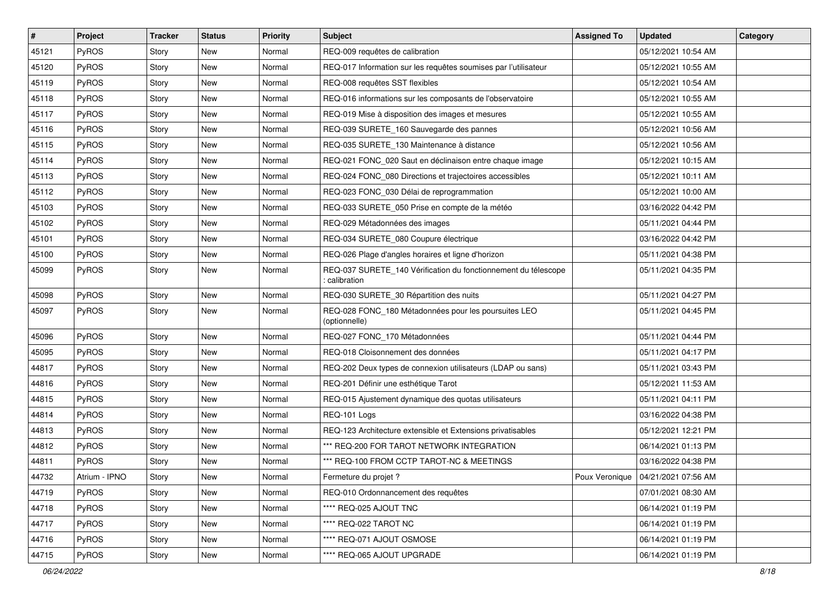| #     | Project       | <b>Tracker</b> | <b>Status</b> | <b>Priority</b> | Subject                                                                         | <b>Assigned To</b> | <b>Updated</b>                       | Category |
|-------|---------------|----------------|---------------|-----------------|---------------------------------------------------------------------------------|--------------------|--------------------------------------|----------|
| 45121 | PyROS         | Story          | New           | Normal          | REQ-009 requêtes de calibration                                                 |                    | 05/12/2021 10:54 AM                  |          |
| 45120 | PyROS         | Story          | New           | Normal          | REQ-017 Information sur les requêtes soumises par l'utilisateur                 |                    | 05/12/2021 10:55 AM                  |          |
| 45119 | PyROS         | Story          | New           | Normal          | REQ-008 requêtes SST flexibles                                                  |                    | 05/12/2021 10:54 AM                  |          |
| 45118 | PyROS         | Story          | <b>New</b>    | Normal          | REQ-016 informations sur les composants de l'observatoire                       |                    | 05/12/2021 10:55 AM                  |          |
| 45117 | PyROS         | Story          | New           | Normal          | REQ-019 Mise à disposition des images et mesures                                |                    | 05/12/2021 10:55 AM                  |          |
| 45116 | PyROS         | Story          | New           | Normal          | REQ-039 SURETE_160 Sauvegarde des pannes                                        |                    | 05/12/2021 10:56 AM                  |          |
| 45115 | PyROS         | Story          | <b>New</b>    | Normal          | REQ-035 SURETE 130 Maintenance à distance                                       |                    | 05/12/2021 10:56 AM                  |          |
| 45114 | <b>PyROS</b>  | Story          | New           | Normal          | REQ-021 FONC_020 Saut en déclinaison entre chaque image                         |                    | 05/12/2021 10:15 AM                  |          |
| 45113 | PyROS         | Story          | New           | Normal          | REQ-024 FONC 080 Directions et trajectoires accessibles                         |                    | 05/12/2021 10:11 AM                  |          |
| 45112 | PyROS         | Story          | New           | Normal          | REQ-023 FONC_030 Délai de reprogrammation                                       |                    | 05/12/2021 10:00 AM                  |          |
| 45103 | PyROS         | Story          | New           | Normal          | REQ-033 SURETE 050 Prise en compte de la météo                                  |                    | 03/16/2022 04:42 PM                  |          |
| 45102 | PyROS         | Story          | <b>New</b>    | Normal          | REQ-029 Métadonnées des images                                                  |                    | 05/11/2021 04:44 PM                  |          |
| 45101 | PyROS         | Story          | New           | Normal          | REQ-034 SURETE 080 Coupure électrique                                           |                    | 03/16/2022 04:42 PM                  |          |
| 45100 | PyROS         | Story          | New           | Normal          | REQ-026 Plage d'angles horaires et ligne d'horizon                              |                    | 05/11/2021 04:38 PM                  |          |
| 45099 | PyROS         | Story          | <b>New</b>    | Normal          | REQ-037 SURETE_140 Vérification du fonctionnement du télescope<br>: calibration |                    | 05/11/2021 04:35 PM                  |          |
| 45098 | PyROS         | Story          | <b>New</b>    | Normal          | REQ-030 SURETE_30 Répartition des nuits                                         |                    | 05/11/2021 04:27 PM                  |          |
| 45097 | PyROS         | Story          | New           | Normal          | REQ-028 FONC_180 Métadonnées pour les poursuites LEO<br>(optionnelle)           |                    | 05/11/2021 04:45 PM                  |          |
| 45096 | PyROS         | Story          | <b>New</b>    | Normal          | REQ-027 FONC_170 Métadonnées                                                    |                    | 05/11/2021 04:44 PM                  |          |
| 45095 | PyROS         | Story          | New           | Normal          | REQ-018 Cloisonnement des données                                               |                    | 05/11/2021 04:17 PM                  |          |
| 44817 | PyROS         | Story          | New           | Normal          | REQ-202 Deux types de connexion utilisateurs (LDAP ou sans)                     |                    | 05/11/2021 03:43 PM                  |          |
| 44816 | PyROS         | Story          | <b>New</b>    | Normal          | REQ-201 Définir une esthétique Tarot                                            |                    | 05/12/2021 11:53 AM                  |          |
| 44815 | PyROS         | Story          | New           | Normal          | REQ-015 Ajustement dynamique des quotas utilisateurs                            |                    | 05/11/2021 04:11 PM                  |          |
| 44814 | PyROS         | Story          | <b>New</b>    | Normal          | REQ-101 Logs                                                                    |                    | 03/16/2022 04:38 PM                  |          |
| 44813 | PyROS         | Story          | New           | Normal          | REQ-123 Architecture extensible et Extensions privatisables                     |                    | 05/12/2021 12:21 PM                  |          |
| 44812 | PyROS         | Story          | New           | Normal          | *** REQ-200 FOR TAROT NETWORK INTEGRATION                                       |                    | 06/14/2021 01:13 PM                  |          |
| 44811 | PyROS         | Story          | <b>New</b>    | Normal          | *** REQ-100 FROM CCTP TAROT-NC & MEETINGS                                       |                    | 03/16/2022 04:38 PM                  |          |
| 44732 | Atrium - IPNO | Story          | New           | Normal          | Fermeture du projet ?                                                           |                    | Poux Veronique   04/21/2021 07:56 AM |          |
| 44719 | PyROS         | Story          | New           | Normal          | REQ-010 Ordonnancement des requêtes                                             |                    | 07/01/2021 08:30 AM                  |          |
| 44718 | PyROS         | Story          | New           | Normal          | **** REQ-025 AJOUT TNC                                                          |                    | 06/14/2021 01:19 PM                  |          |
| 44717 | PyROS         | Story          | New           | Normal          | **** REQ-022 TAROT NC                                                           |                    | 06/14/2021 01:19 PM                  |          |
| 44716 | PyROS         | Story          | New           | Normal          | **** REQ-071 AJOUT OSMOSE                                                       |                    | 06/14/2021 01:19 PM                  |          |
| 44715 | PyROS         | Story          | New           | Normal          | **** REQ-065 AJOUT UPGRADE                                                      |                    | 06/14/2021 01:19 PM                  |          |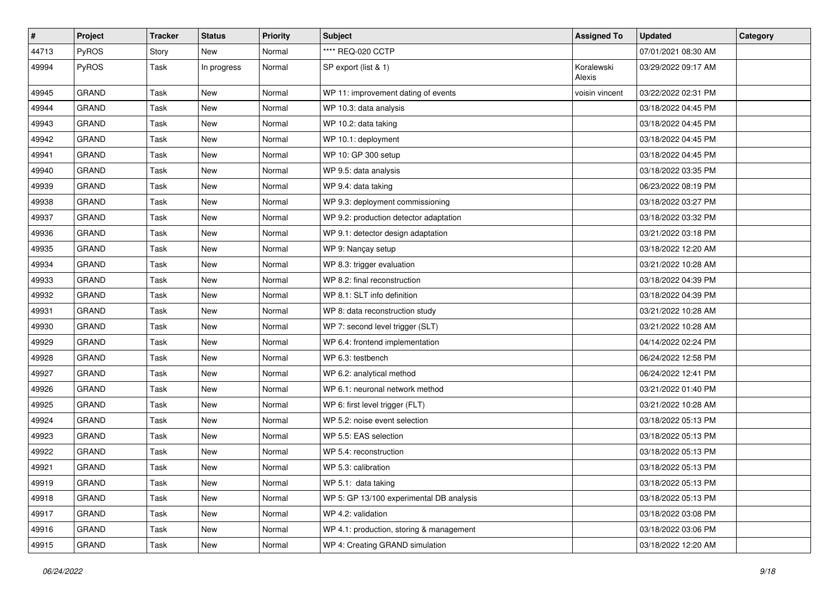| #     | Project      | <b>Tracker</b> | <b>Status</b> | <b>Priority</b> | Subject                                  | <b>Assigned To</b>   | <b>Updated</b>      | Category |
|-------|--------------|----------------|---------------|-----------------|------------------------------------------|----------------------|---------------------|----------|
| 44713 | PyROS        | Story          | New           | Normal          | **** REQ-020 CCTP                        |                      | 07/01/2021 08:30 AM |          |
| 49994 | PyROS        | Task           | In progress   | Normal          | SP export (list & 1)                     | Koralewski<br>Alexis | 03/29/2022 09:17 AM |          |
| 49945 | <b>GRAND</b> | Task           | New           | Normal          | WP 11: improvement dating of events      | voisin vincent       | 03/22/2022 02:31 PM |          |
| 49944 | <b>GRAND</b> | Task           | <b>New</b>    | Normal          | WP 10.3: data analysis                   |                      | 03/18/2022 04:45 PM |          |
| 49943 | <b>GRAND</b> | Task           | New           | Normal          | WP 10.2: data taking                     |                      | 03/18/2022 04:45 PM |          |
| 49942 | <b>GRAND</b> | Task           | New           | Normal          | WP 10.1: deployment                      |                      | 03/18/2022 04:45 PM |          |
| 49941 | <b>GRAND</b> | Task           | New           | Normal          | WP 10: GP 300 setup                      |                      | 03/18/2022 04:45 PM |          |
| 49940 | <b>GRAND</b> | Task           | <b>New</b>    | Normal          | WP 9.5: data analysis                    |                      | 03/18/2022 03:35 PM |          |
| 49939 | GRAND        | Task           | New           | Normal          | WP 9.4: data taking                      |                      | 06/23/2022 08:19 PM |          |
| 49938 | <b>GRAND</b> | Task           | New           | Normal          | WP 9.3: deployment commissioning         |                      | 03/18/2022 03:27 PM |          |
| 49937 | <b>GRAND</b> | Task           | <b>New</b>    | Normal          | WP 9.2: production detector adaptation   |                      | 03/18/2022 03:32 PM |          |
| 49936 | <b>GRAND</b> | Task           | New           | Normal          | WP 9.1: detector design adaptation       |                      | 03/21/2022 03:18 PM |          |
| 49935 | <b>GRAND</b> | Task           | New           | Normal          | WP 9: Nançay setup                       |                      | 03/18/2022 12:20 AM |          |
| 49934 | <b>GRAND</b> | Task           | <b>New</b>    | Normal          | WP 8.3: trigger evaluation               |                      | 03/21/2022 10:28 AM |          |
| 49933 | <b>GRAND</b> | Task           | New           | Normal          | WP 8.2: final reconstruction             |                      | 03/18/2022 04:39 PM |          |
| 49932 | <b>GRAND</b> | Task           | <b>New</b>    | Normal          | WP 8.1: SLT info definition              |                      | 03/18/2022 04:39 PM |          |
| 49931 | <b>GRAND</b> | Task           | New           | Normal          | WP 8: data reconstruction study          |                      | 03/21/2022 10:28 AM |          |
| 49930 | <b>GRAND</b> | Task           | <b>New</b>    | Normal          | WP 7: second level trigger (SLT)         |                      | 03/21/2022 10:28 AM |          |
| 49929 | <b>GRAND</b> | Task           | New           | Normal          | WP 6.4: frontend implementation          |                      | 04/14/2022 02:24 PM |          |
| 49928 | <b>GRAND</b> | Task           | New           | Normal          | WP 6.3: testbench                        |                      | 06/24/2022 12:58 PM |          |
| 49927 | <b>GRAND</b> | Task           | <b>New</b>    | Normal          | WP 6.2: analytical method                |                      | 06/24/2022 12:41 PM |          |
| 49926 | <b>GRAND</b> | Task           | New           | Normal          | WP 6.1: neuronal network method          |                      | 03/21/2022 01:40 PM |          |
| 49925 | <b>GRAND</b> | Task           | New           | Normal          | WP 6: first level trigger (FLT)          |                      | 03/21/2022 10:28 AM |          |
| 49924 | GRAND        | Task           | <b>New</b>    | Normal          | WP 5.2: noise event selection            |                      | 03/18/2022 05:13 PM |          |
| 49923 | <b>GRAND</b> | Task           | New           | Normal          | WP 5.5: EAS selection                    |                      | 03/18/2022 05:13 PM |          |
| 49922 | <b>GRAND</b> | Task           | New           | Normal          | WP 5.4: reconstruction                   |                      | 03/18/2022 05:13 PM |          |
| 49921 | <b>GRAND</b> | Task           | <b>New</b>    | Normal          | WP 5.3: calibration                      |                      | 03/18/2022 05:13 PM |          |
| 49919 | GRAND        | Task           | New           | Normal          | WP 5.1: data taking                      |                      | 03/18/2022 05:13 PM |          |
| 49918 | GRAND        | Task           | New           | Normal          | WP 5: GP 13/100 experimental DB analysis |                      | 03/18/2022 05:13 PM |          |
| 49917 | GRAND        | Task           | New           | Normal          | WP 4.2: validation                       |                      | 03/18/2022 03:08 PM |          |
| 49916 | GRAND        | Task           | New           | Normal          | WP 4.1: production, storing & management |                      | 03/18/2022 03:06 PM |          |
| 49915 | GRAND        | Task           | New           | Normal          | WP 4: Creating GRAND simulation          |                      | 03/18/2022 12:20 AM |          |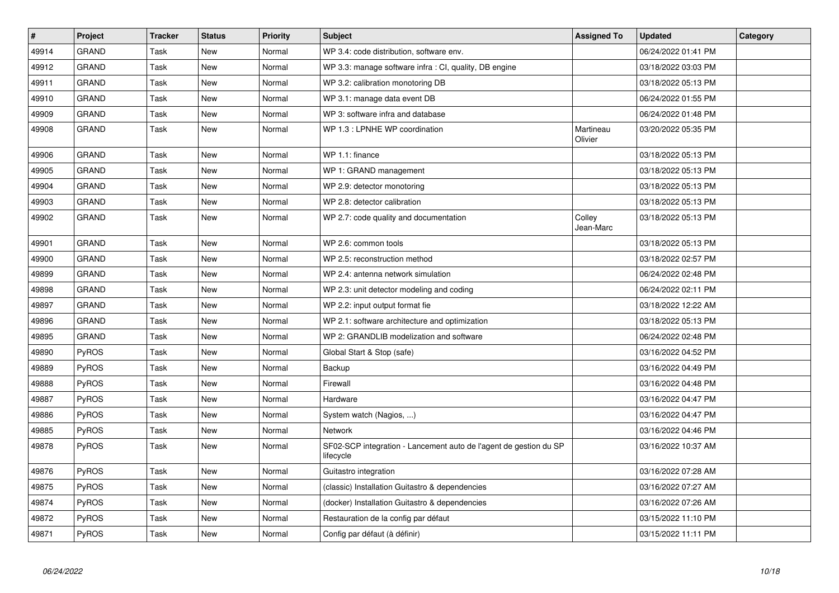| $\vert$ # | <b>Project</b> | <b>Tracker</b> | <b>Status</b> | <b>Priority</b> | <b>Subject</b>                                                                 | <b>Assigned To</b>   | <b>Updated</b>      | Category |
|-----------|----------------|----------------|---------------|-----------------|--------------------------------------------------------------------------------|----------------------|---------------------|----------|
| 49914     | <b>GRAND</b>   | Task           | <b>New</b>    | Normal          | WP 3.4: code distribution, software env.                                       |                      | 06/24/2022 01:41 PM |          |
| 49912     | GRAND          | Task           | New           | Normal          | WP 3.3: manage software infra : CI, quality, DB engine                         |                      | 03/18/2022 03:03 PM |          |
| 49911     | GRAND          | Task           | <b>New</b>    | Normal          | WP 3.2: calibration monotoring DB                                              |                      | 03/18/2022 05:13 PM |          |
| 49910     | GRAND          | Task           | <b>New</b>    | Normal          | WP 3.1: manage data event DB                                                   |                      | 06/24/2022 01:55 PM |          |
| 49909     | <b>GRAND</b>   | Task           | <b>New</b>    | Normal          | WP 3: software infra and database                                              |                      | 06/24/2022 01:48 PM |          |
| 49908     | GRAND          | Task           | <b>New</b>    | Normal          | WP 1.3 : LPNHE WP coordination                                                 | Martineau<br>Olivier | 03/20/2022 05:35 PM |          |
| 49906     | GRAND          | Task           | New           | Normal          | WP 1.1: finance                                                                |                      | 03/18/2022 05:13 PM |          |
| 49905     | <b>GRAND</b>   | Task           | <b>New</b>    | Normal          | WP 1: GRAND management                                                         |                      | 03/18/2022 05:13 PM |          |
| 49904     | <b>GRAND</b>   | Task           | <b>New</b>    | Normal          | WP 2.9: detector monotoring                                                    |                      | 03/18/2022 05:13 PM |          |
| 49903     | <b>GRAND</b>   | Task           | <b>New</b>    | Normal          | WP 2.8: detector calibration                                                   |                      | 03/18/2022 05:13 PM |          |
| 49902     | <b>GRAND</b>   | Task           | <b>New</b>    | Normal          | WP 2.7: code quality and documentation                                         | Colley<br>Jean-Marc  | 03/18/2022 05:13 PM |          |
| 49901     | <b>GRAND</b>   | Task           | <b>New</b>    | Normal          | WP 2.6: common tools                                                           |                      | 03/18/2022 05:13 PM |          |
| 49900     | GRAND          | Task           | <b>New</b>    | Normal          | WP 2.5: reconstruction method                                                  |                      | 03/18/2022 02:57 PM |          |
| 49899     | <b>GRAND</b>   | Task           | <b>New</b>    | Normal          | WP 2.4: antenna network simulation                                             |                      | 06/24/2022 02:48 PM |          |
| 49898     | <b>GRAND</b>   | Task           | <b>New</b>    | Normal          | WP 2.3: unit detector modeling and coding                                      |                      | 06/24/2022 02:11 PM |          |
| 49897     | <b>GRAND</b>   | Task           | <b>New</b>    | Normal          | WP 2.2: input output format fie                                                |                      | 03/18/2022 12:22 AM |          |
| 49896     | GRAND          | Task           | <b>New</b>    | Normal          | WP 2.1: software architecture and optimization                                 |                      | 03/18/2022 05:13 PM |          |
| 49895     | GRAND          | Task           | New           | Normal          | WP 2: GRANDLIB modelization and software                                       |                      | 06/24/2022 02:48 PM |          |
| 49890     | <b>PyROS</b>   | Task           | <b>New</b>    | Normal          | Global Start & Stop (safe)                                                     |                      | 03/16/2022 04:52 PM |          |
| 49889     | PyROS          | Task           | <b>New</b>    | Normal          | Backup                                                                         |                      | 03/16/2022 04:49 PM |          |
| 49888     | PyROS          | Task           | <b>New</b>    | Normal          | Firewall                                                                       |                      | 03/16/2022 04:48 PM |          |
| 49887     | PyROS          | Task           | <b>New</b>    | Normal          | Hardware                                                                       |                      | 03/16/2022 04:47 PM |          |
| 49886     | <b>PyROS</b>   | Task           | <b>New</b>    | Normal          | System watch (Nagios, )                                                        |                      | 03/16/2022 04:47 PM |          |
| 49885     | PyROS          | Task           | <b>New</b>    | Normal          | Network                                                                        |                      | 03/16/2022 04:46 PM |          |
| 49878     | <b>PyROS</b>   | Task           | New           | Normal          | SF02-SCP integration - Lancement auto de l'agent de gestion du SP<br>lifecycle |                      | 03/16/2022 10:37 AM |          |
| 49876     | PyROS          | Task           | <b>New</b>    | Normal          | Guitastro integration                                                          |                      | 03/16/2022 07:28 AM |          |
| 49875     | PyROS          | Task           | <b>New</b>    | Normal          | (classic) Installation Guitastro & dependencies                                |                      | 03/16/2022 07:27 AM |          |
| 49874     | PyROS          | Task           | <b>New</b>    | Normal          | (docker) Installation Guitastro & dependencies                                 |                      | 03/16/2022 07:26 AM |          |
| 49872     | PyROS          | Task           | <b>New</b>    | Normal          | Restauration de la config par défaut                                           |                      | 03/15/2022 11:10 PM |          |
| 49871     | PyROS          | Task           | <b>New</b>    | Normal          | Config par défaut (à définir)                                                  |                      | 03/15/2022 11:11 PM |          |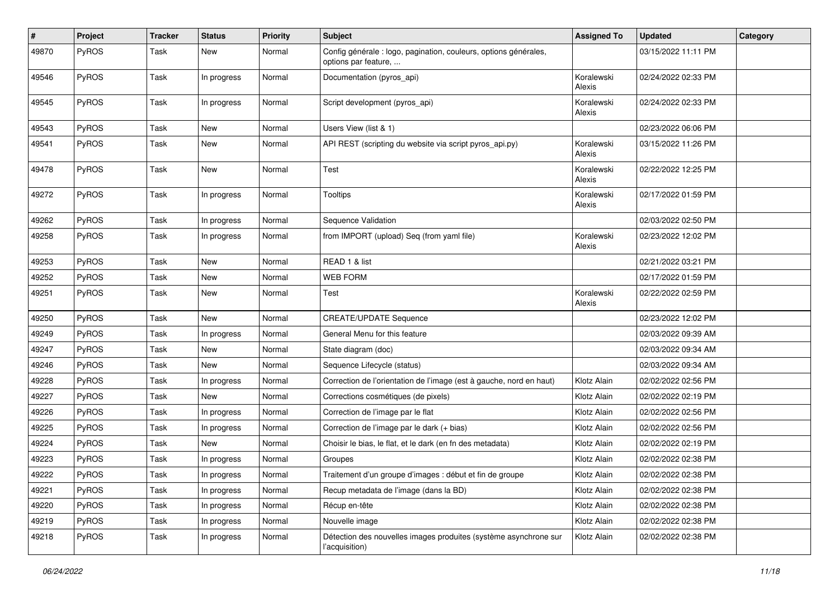| #     | Project      | <b>Tracker</b> | <b>Status</b> | <b>Priority</b> | <b>Subject</b>                                                                           | <b>Assigned To</b>   | <b>Updated</b>      | Category |
|-------|--------------|----------------|---------------|-----------------|------------------------------------------------------------------------------------------|----------------------|---------------------|----------|
| 49870 | <b>PyROS</b> | Task           | New           | Normal          | Config générale : logo, pagination, couleurs, options générales,<br>options par feature, |                      | 03/15/2022 11:11 PM |          |
| 49546 | <b>PyROS</b> | Task           | In progress   | Normal          | Documentation (pyros_api)                                                                | Koralewski<br>Alexis | 02/24/2022 02:33 PM |          |
| 49545 | <b>PyROS</b> | Task           | In progress   | Normal          | Script development (pyros_api)                                                           | Koralewski<br>Alexis | 02/24/2022 02:33 PM |          |
| 49543 | PyROS        | Task           | New           | Normal          | Users View (list & 1)                                                                    |                      | 02/23/2022 06:06 PM |          |
| 49541 | <b>PyROS</b> | Task           | New           | Normal          | API REST (scripting du website via script pyros_api.py)                                  | Koralewski<br>Alexis | 03/15/2022 11:26 PM |          |
| 49478 | PyROS        | Task           | New           | Normal          | Test                                                                                     | Koralewski<br>Alexis | 02/22/2022 12:25 PM |          |
| 49272 | <b>PyROS</b> | Task           | In progress   | Normal          | Tooltips                                                                                 | Koralewski<br>Alexis | 02/17/2022 01:59 PM |          |
| 49262 | <b>PyROS</b> | Task           | In progress   | Normal          | Sequence Validation                                                                      |                      | 02/03/2022 02:50 PM |          |
| 49258 | <b>PyROS</b> | Task           | In progress   | Normal          | from IMPORT (upload) Seq (from yaml file)                                                | Koralewski<br>Alexis | 02/23/2022 12:02 PM |          |
| 49253 | <b>PyROS</b> | Task           | <b>New</b>    | Normal          | READ 1 & list                                                                            |                      | 02/21/2022 03:21 PM |          |
| 49252 | PyROS        | Task           | <b>New</b>    | Normal          | <b>WEB FORM</b>                                                                          |                      | 02/17/2022 01:59 PM |          |
| 49251 | <b>PyROS</b> | Task           | <b>New</b>    | Normal          | Test                                                                                     | Koralewski<br>Alexis | 02/22/2022 02:59 PM |          |
| 49250 | PyROS        | Task           | New           | Normal          | <b>CREATE/UPDATE Sequence</b>                                                            |                      | 02/23/2022 12:02 PM |          |
| 49249 | <b>PyROS</b> | Task           | In progress   | Normal          | General Menu for this feature                                                            |                      | 02/03/2022 09:39 AM |          |
| 49247 | <b>PyROS</b> | Task           | New           | Normal          | State diagram (doc)                                                                      |                      | 02/03/2022 09:34 AM |          |
| 49246 | <b>PyROS</b> | Task           | New           | Normal          | Sequence Lifecycle (status)                                                              |                      | 02/03/2022 09:34 AM |          |
| 49228 | <b>PyROS</b> | Task           | In progress   | Normal          | Correction de l'orientation de l'image (est à gauche, nord en haut)                      | Klotz Alain          | 02/02/2022 02:56 PM |          |
| 49227 | PyROS        | Task           | <b>New</b>    | Normal          | Corrections cosmétiques (de pixels)                                                      | Klotz Alain          | 02/02/2022 02:19 PM |          |
| 49226 | PyROS        | Task           | In progress   | Normal          | Correction de l'image par le flat                                                        | Klotz Alain          | 02/02/2022 02:56 PM |          |
| 49225 | <b>PyROS</b> | Task           | In progress   | Normal          | Correction de l'image par le dark (+ bias)                                               | Klotz Alain          | 02/02/2022 02:56 PM |          |
| 49224 | PyROS        | Task           | New           | Normal          | Choisir le bias, le flat, et le dark (en fn des metadata)                                | Klotz Alain          | 02/02/2022 02:19 PM |          |
| 49223 | PyROS        | Task           | In progress   | Normal          | Groupes                                                                                  | Klotz Alain          | 02/02/2022 02:38 PM |          |
| 49222 | PyROS        | Task           | In progress   | Normal          | Traitement d'un groupe d'images : début et fin de groupe                                 | Klotz Alain          | 02/02/2022 02:38 PM |          |
| 49221 | <b>PyROS</b> | Task           | In progress   | Normal          | Recup metadata de l'image (dans la BD)                                                   | Klotz Alain          | 02/02/2022 02:38 PM |          |
| 49220 | PyROS        | Task           | In progress   | Normal          | Récup en-tête                                                                            | Klotz Alain          | 02/02/2022 02:38 PM |          |
| 49219 | PyROS        | Task           | In progress   | Normal          | Nouvelle image                                                                           | Klotz Alain          | 02/02/2022 02:38 PM |          |
| 49218 | PyROS        | Task           | In progress   | Normal          | Détection des nouvelles images produites (système asynchrone sur<br>l'acquisition)       | Klotz Alain          | 02/02/2022 02:38 PM |          |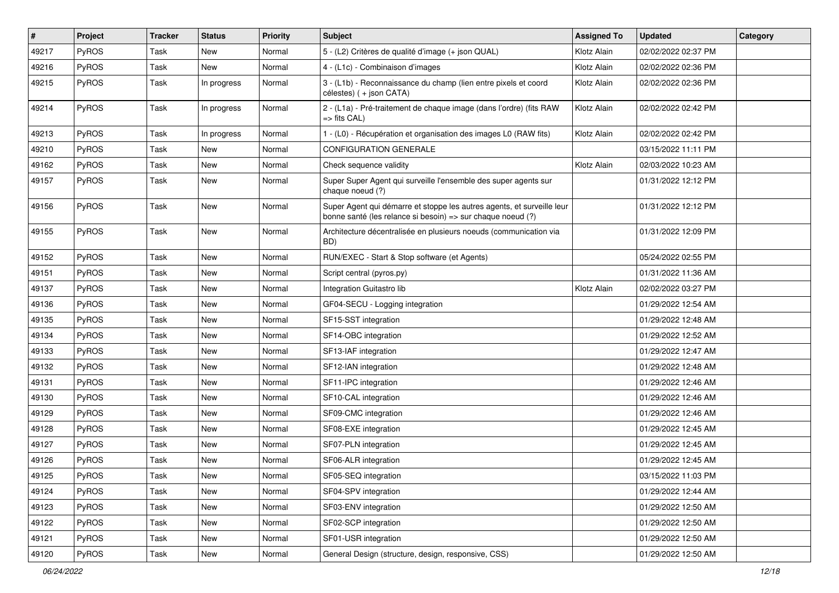| #     | Project      | <b>Tracker</b> | <b>Status</b> | <b>Priority</b> | Subject                                                                                                                               | <b>Assigned To</b> | <b>Updated</b>      | Category |
|-------|--------------|----------------|---------------|-----------------|---------------------------------------------------------------------------------------------------------------------------------------|--------------------|---------------------|----------|
| 49217 | <b>PyROS</b> | Task           | <b>New</b>    | Normal          | 5 - (L2) Critères de qualité d'image (+ json QUAL)                                                                                    | Klotz Alain        | 02/02/2022 02:37 PM |          |
| 49216 | PyROS        | Task           | <b>New</b>    | Normal          | 4 - (L1c) - Combinaison d'images                                                                                                      | Klotz Alain        | 02/02/2022 02:36 PM |          |
| 49215 | PyROS        | Task           | In progress   | Normal          | 3 - (L1b) - Reconnaissance du champ (lien entre pixels et coord<br>célestes) (+ json CATA)                                            | Klotz Alain        | 02/02/2022 02:36 PM |          |
| 49214 | PyROS        | Task           | In progress   | Normal          | 2 - (L1a) - Pré-traitement de chaque image (dans l'ordre) (fits RAW<br>=> fits CAL)                                                   | Klotz Alain        | 02/02/2022 02:42 PM |          |
| 49213 | PyROS        | Task           | In progress   | Normal          | 1 - (L0) - Récupération et organisation des images L0 (RAW fits)                                                                      | Klotz Alain        | 02/02/2022 02:42 PM |          |
| 49210 | PyROS        | Task           | <b>New</b>    | Normal          | <b>CONFIGURATION GENERALE</b>                                                                                                         |                    | 03/15/2022 11:11 PM |          |
| 49162 | PyROS        | Task           | New           | Normal          | Check sequence validity                                                                                                               | Klotz Alain        | 02/03/2022 10:23 AM |          |
| 49157 | PyROS        | Task           | <b>New</b>    | Normal          | Super Super Agent qui surveille l'ensemble des super agents sur<br>chaque noeud (?)                                                   |                    | 01/31/2022 12:12 PM |          |
| 49156 | PyROS        | Task           | New           | Normal          | Super Agent qui démarre et stoppe les autres agents, et surveille leur<br>bonne santé (les relance si besoin) => sur chaque noeud (?) |                    | 01/31/2022 12:12 PM |          |
| 49155 | PyROS        | Task           | <b>New</b>    | Normal          | Architecture décentralisée en plusieurs noeuds (communication via<br>BD)                                                              |                    | 01/31/2022 12:09 PM |          |
| 49152 | PyROS        | Task           | <b>New</b>    | Normal          | RUN/EXEC - Start & Stop software (et Agents)                                                                                          |                    | 05/24/2022 02:55 PM |          |
| 49151 | <b>PyROS</b> | Task           | New           | Normal          | Script central (pyros.py)                                                                                                             |                    | 01/31/2022 11:36 AM |          |
| 49137 | PyROS        | Task           | <b>New</b>    | Normal          | Integration Guitastro lib                                                                                                             | Klotz Alain        | 02/02/2022 03:27 PM |          |
| 49136 | PyROS        | Task           | New           | Normal          | GF04-SECU - Logging integration                                                                                                       |                    | 01/29/2022 12:54 AM |          |
| 49135 | PyROS        | Task           | New           | Normal          | SF15-SST integration                                                                                                                  |                    | 01/29/2022 12:48 AM |          |
| 49134 | PyROS        | Task           | <b>New</b>    | Normal          | SF14-OBC integration                                                                                                                  |                    | 01/29/2022 12:52 AM |          |
| 49133 | <b>PyROS</b> | Task           | <b>New</b>    | Normal          | SF13-IAF integration                                                                                                                  |                    | 01/29/2022 12:47 AM |          |
| 49132 | PyROS        | Task           | New           | Normal          | SF12-IAN integration                                                                                                                  |                    | 01/29/2022 12:48 AM |          |
| 49131 | PyROS        | Task           | New           | Normal          | SF11-IPC integration                                                                                                                  |                    | 01/29/2022 12:46 AM |          |
| 49130 | PyROS        | Task           | <b>New</b>    | Normal          | SF10-CAL integration                                                                                                                  |                    | 01/29/2022 12:46 AM |          |
| 49129 | PyROS        | Task           | <b>New</b>    | Normal          | SF09-CMC integration                                                                                                                  |                    | 01/29/2022 12:46 AM |          |
| 49128 | <b>PyROS</b> | Task           | New           | Normal          | SF08-EXE integration                                                                                                                  |                    | 01/29/2022 12:45 AM |          |
| 49127 | PyROS        | Task           | New           | Normal          | SF07-PLN integration                                                                                                                  |                    | 01/29/2022 12:45 AM |          |
| 49126 | PyROS        | Task           | New           | Normal          | SF06-ALR integration                                                                                                                  |                    | 01/29/2022 12:45 AM |          |
| 49125 | PyROS        | Task           | New           | Normal          | SF05-SEQ integration                                                                                                                  |                    | 03/15/2022 11:03 PM |          |
| 49124 | PyROS        | Task           | New           | Normal          | SF04-SPV integration                                                                                                                  |                    | 01/29/2022 12:44 AM |          |
| 49123 | PyROS        | Task           | New           | Normal          | SF03-ENV integration                                                                                                                  |                    | 01/29/2022 12:50 AM |          |
| 49122 | PyROS        | Task           | New           | Normal          | SF02-SCP integration                                                                                                                  |                    | 01/29/2022 12:50 AM |          |
| 49121 | PyROS        | Task           | New           | Normal          | SF01-USR integration                                                                                                                  |                    | 01/29/2022 12:50 AM |          |
| 49120 | PyROS        | Task           | New           | Normal          | General Design (structure, design, responsive, CSS)                                                                                   |                    | 01/29/2022 12:50 AM |          |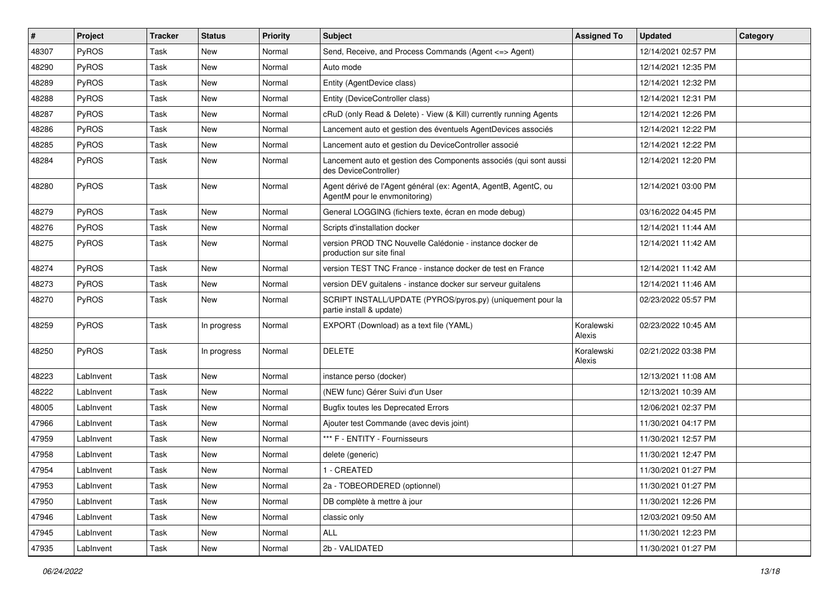| $\vert$ # | Project      | <b>Tracker</b> | <b>Status</b> | <b>Priority</b> | <b>Subject</b>                                                                                   | <b>Assigned To</b>   | <b>Updated</b>      | Category |
|-----------|--------------|----------------|---------------|-----------------|--------------------------------------------------------------------------------------------------|----------------------|---------------------|----------|
| 48307     | <b>PyROS</b> | Task           | <b>New</b>    | Normal          | Send, Receive, and Process Commands (Agent <= > Agent)                                           |                      | 12/14/2021 02:57 PM |          |
| 48290     | PyROS        | Task           | <b>New</b>    | Normal          | Auto mode                                                                                        |                      | 12/14/2021 12:35 PM |          |
| 48289     | <b>PyROS</b> | Task           | New           | Normal          | Entity (AgentDevice class)                                                                       |                      | 12/14/2021 12:32 PM |          |
| 48288     | <b>PyROS</b> | Task           | <b>New</b>    | Normal          | Entity (DeviceController class)                                                                  |                      | 12/14/2021 12:31 PM |          |
| 48287     | <b>PyROS</b> | Task           | <b>New</b>    | Normal          | cRuD (only Read & Delete) - View (& Kill) currently running Agents                               |                      | 12/14/2021 12:26 PM |          |
| 48286     | <b>PyROS</b> | Task           | <b>New</b>    | Normal          | Lancement auto et gestion des éventuels AgentDevices associés                                    |                      | 12/14/2021 12:22 PM |          |
| 48285     | PyROS        | Task           | <b>New</b>    | Normal          | Lancement auto et gestion du DeviceController associé                                            |                      | 12/14/2021 12:22 PM |          |
| 48284     | PyROS        | Task           | <b>New</b>    | Normal          | Lancement auto et gestion des Components associés (qui sont aussi<br>des DeviceController)       |                      | 12/14/2021 12:20 PM |          |
| 48280     | PyROS        | Task           | New           | Normal          | Agent dérivé de l'Agent général (ex: AgentA, AgentB, AgentC, ou<br>AgentM pour le envmonitoring) |                      | 12/14/2021 03:00 PM |          |
| 48279     | <b>PyROS</b> | Task           | <b>New</b>    | Normal          | General LOGGING (fichiers texte, écran en mode debug)                                            |                      | 03/16/2022 04:45 PM |          |
| 48276     | <b>PyROS</b> | Task           | <b>New</b>    | Normal          | Scripts d'installation docker                                                                    |                      | 12/14/2021 11:44 AM |          |
| 48275     | <b>PyROS</b> | Task           | New           | Normal          | version PROD TNC Nouvelle Calédonie - instance docker de<br>production sur site final            |                      | 12/14/2021 11:42 AM |          |
| 48274     | <b>PyROS</b> | Task           | New           | Normal          | version TEST TNC France - instance docker de test en France                                      |                      | 12/14/2021 11:42 AM |          |
| 48273     | <b>PyROS</b> | Task           | New           | Normal          | version DEV guitalens - instance docker sur serveur guitalens                                    |                      | 12/14/2021 11:46 AM |          |
| 48270     | <b>PyROS</b> | Task           | New           | Normal          | SCRIPT INSTALL/UPDATE (PYROS/pyros.py) (uniquement pour la<br>partie install & update)           |                      | 02/23/2022 05:57 PM |          |
| 48259     | PyROS        | Task           | In progress   | Normal          | EXPORT (Download) as a text file (YAML)                                                          | Koralewski<br>Alexis | 02/23/2022 10:45 AM |          |
| 48250     | PyROS        | Task           | In progress   | Normal          | <b>DELETE</b>                                                                                    | Koralewski<br>Alexis | 02/21/2022 03:38 PM |          |
| 48223     | LabInvent    | Task           | <b>New</b>    | Normal          | instance perso (docker)                                                                          |                      | 12/13/2021 11:08 AM |          |
| 48222     | LabInvent    | Task           | <b>New</b>    | Normal          | (NEW func) Gérer Suivi d'un User                                                                 |                      | 12/13/2021 10:39 AM |          |
| 48005     | LabInvent    | Task           | <b>New</b>    | Normal          | <b>Bugfix toutes les Deprecated Errors</b>                                                       |                      | 12/06/2021 02:37 PM |          |
| 47966     | LabInvent    | Task           | New           | Normal          | Ajouter test Commande (avec devis joint)                                                         |                      | 11/30/2021 04:17 PM |          |
| 47959     | LabInvent    | Task           | New           | Normal          | *** F - ENTITY - Fournisseurs                                                                    |                      | 11/30/2021 12:57 PM |          |
| 47958     | LabInvent    | Task           | <b>New</b>    | Normal          | delete (generic)                                                                                 |                      | 11/30/2021 12:47 PM |          |
| 47954     | LabInvent    | Task           | New           | Normal          | 1 - CREATED                                                                                      |                      | 11/30/2021 01:27 PM |          |
| 47953     | LabInvent    | Task           | New           | Normal          | 2a - TOBEORDERED (optionnel)                                                                     |                      | 11/30/2021 01:27 PM |          |
| 47950     | LabInvent    | Task           | New           | Normal          | DB complète à mettre à jour                                                                      |                      | 11/30/2021 12:26 PM |          |
| 47946     | LabInvent    | Task           | New           | Normal          | classic only                                                                                     |                      | 12/03/2021 09:50 AM |          |
| 47945     | LabInvent    | Task           | New           | Normal          | ALL                                                                                              |                      | 11/30/2021 12:23 PM |          |
| 47935     | LabInvent    | Task           | New           | Normal          | 2b - VALIDATED                                                                                   |                      | 11/30/2021 01:27 PM |          |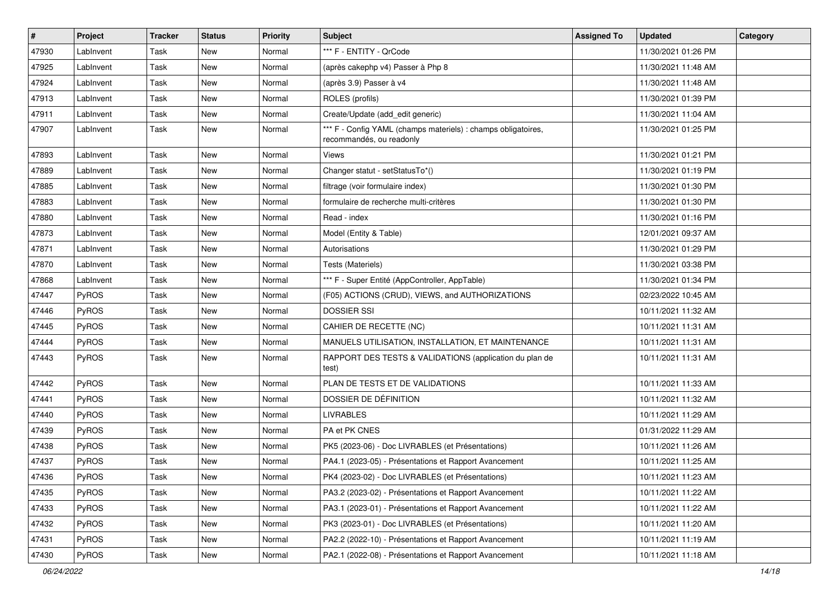| $\vert$ # | Project      | <b>Tracker</b> | <b>Status</b> | <b>Priority</b> | <b>Subject</b>                                                                            | <b>Assigned To</b> | <b>Updated</b>      | Category |
|-----------|--------------|----------------|---------------|-----------------|-------------------------------------------------------------------------------------------|--------------------|---------------------|----------|
| 47930     | LabInvent    | Task           | <b>New</b>    | Normal          | *** F - ENTITY - QrCode                                                                   |                    | 11/30/2021 01:26 PM |          |
| 47925     | LabInvent    | Task           | <b>New</b>    | Normal          | (après cakephp v4) Passer à Php 8                                                         |                    | 11/30/2021 11:48 AM |          |
| 47924     | LabInvent    | Task           | <b>New</b>    | Normal          | (après 3.9) Passer à v4                                                                   |                    | 11/30/2021 11:48 AM |          |
| 47913     | LabInvent    | Task           | New           | Normal          | ROLES (profils)                                                                           |                    | 11/30/2021 01:39 PM |          |
| 47911     | LabInvent    | Task           | <b>New</b>    | Normal          | Create/Update (add_edit generic)                                                          |                    | 11/30/2021 11:04 AM |          |
| 47907     | LabInvent    | Task           | <b>New</b>    | Normal          | *** F - Config YAML (champs materiels) : champs obligatoires,<br>recommandés, ou readonly |                    | 11/30/2021 01:25 PM |          |
| 47893     | LabInvent    | Task           | <b>New</b>    | Normal          | Views                                                                                     |                    | 11/30/2021 01:21 PM |          |
| 47889     | LabInvent    | Task           | <b>New</b>    | Normal          | Changer statut - setStatusTo*()                                                           |                    | 11/30/2021 01:19 PM |          |
| 47885     | LabInvent    | Task           | <b>New</b>    | Normal          | filtrage (voir formulaire index)                                                          |                    | 11/30/2021 01:30 PM |          |
| 47883     | LabInvent    | Task           | <b>New</b>    | Normal          | formulaire de recherche multi-critères                                                    |                    | 11/30/2021 01:30 PM |          |
| 47880     | LabInvent    | Task           | New           | Normal          | Read - index                                                                              |                    | 11/30/2021 01:16 PM |          |
| 47873     | LabInvent    | Task           | New           | Normal          | Model (Entity & Table)                                                                    |                    | 12/01/2021 09:37 AM |          |
| 47871     | LabInvent    | Task           | <b>New</b>    | Normal          | Autorisations                                                                             |                    | 11/30/2021 01:29 PM |          |
| 47870     | LabInvent    | Task           | <b>New</b>    | Normal          | Tests (Materiels)                                                                         |                    | 11/30/2021 03:38 PM |          |
| 47868     | LabInvent    | Task           | New           | Normal          | *** F - Super Entité (AppController, AppTable)                                            |                    | 11/30/2021 01:34 PM |          |
| 47447     | <b>PyROS</b> | Task           | New           | Normal          | (F05) ACTIONS (CRUD), VIEWS, and AUTHORIZATIONS                                           |                    | 02/23/2022 10:45 AM |          |
| 47446     | <b>PyROS</b> | Task           | <b>New</b>    | Normal          | <b>DOSSIER SSI</b>                                                                        |                    | 10/11/2021 11:32 AM |          |
| 47445     | <b>PyROS</b> | Task           | <b>New</b>    | Normal          | CAHIER DE RECETTE (NC)                                                                    |                    | 10/11/2021 11:31 AM |          |
| 47444     | <b>PyROS</b> | Task           | <b>New</b>    | Normal          | MANUELS UTILISATION, INSTALLATION, ET MAINTENANCE                                         |                    | 10/11/2021 11:31 AM |          |
| 47443     | PyROS        | Task           | New           | Normal          | RAPPORT DES TESTS & VALIDATIONS (application du plan de<br>test)                          |                    | 10/11/2021 11:31 AM |          |
| 47442     | PyROS        | Task           | <b>New</b>    | Normal          | PLAN DE TESTS ET DE VALIDATIONS                                                           |                    | 10/11/2021 11:33 AM |          |
| 47441     | <b>PyROS</b> | Task           | <b>New</b>    | Normal          | DOSSIER DE DÉFINITION                                                                     |                    | 10/11/2021 11:32 AM |          |
| 47440     | PyROS        | Task           | New           | Normal          | <b>LIVRABLES</b>                                                                          |                    | 10/11/2021 11:29 AM |          |
| 47439     | PyROS        | Task           | <b>New</b>    | Normal          | PA et PK CNES                                                                             |                    | 01/31/2022 11:29 AM |          |
| 47438     | <b>PyROS</b> | Task           | <b>New</b>    | Normal          | PK5 (2023-06) - Doc LIVRABLES (et Présentations)                                          |                    | 10/11/2021 11:26 AM |          |
| 47437     | PyROS        | Task           | <b>New</b>    | Normal          | PA4.1 (2023-05) - Présentations et Rapport Avancement                                     |                    | 10/11/2021 11:25 AM |          |
| 47436     | PyROS        | Task           | <b>New</b>    | Normal          | PK4 (2023-02) - Doc LIVRABLES (et Présentations)                                          |                    | 10/11/2021 11:23 AM |          |
| 47435     | <b>PyROS</b> | Task           | New           | Normal          | PA3.2 (2023-02) - Présentations et Rapport Avancement                                     |                    | 10/11/2021 11:22 AM |          |
| 47433     | PyROS        | Task           | New           | Normal          | PA3.1 (2023-01) - Présentations et Rapport Avancement                                     |                    | 10/11/2021 11:22 AM |          |
| 47432     | <b>PyROS</b> | Task           | New           | Normal          | PK3 (2023-01) - Doc LIVRABLES (et Présentations)                                          |                    | 10/11/2021 11:20 AM |          |
| 47431     | PyROS        | Task           | New           | Normal          | PA2.2 (2022-10) - Présentations et Rapport Avancement                                     |                    | 10/11/2021 11:19 AM |          |
| 47430     | PyROS        | Task           | New           | Normal          | PA2.1 (2022-08) - Présentations et Rapport Avancement                                     |                    | 10/11/2021 11:18 AM |          |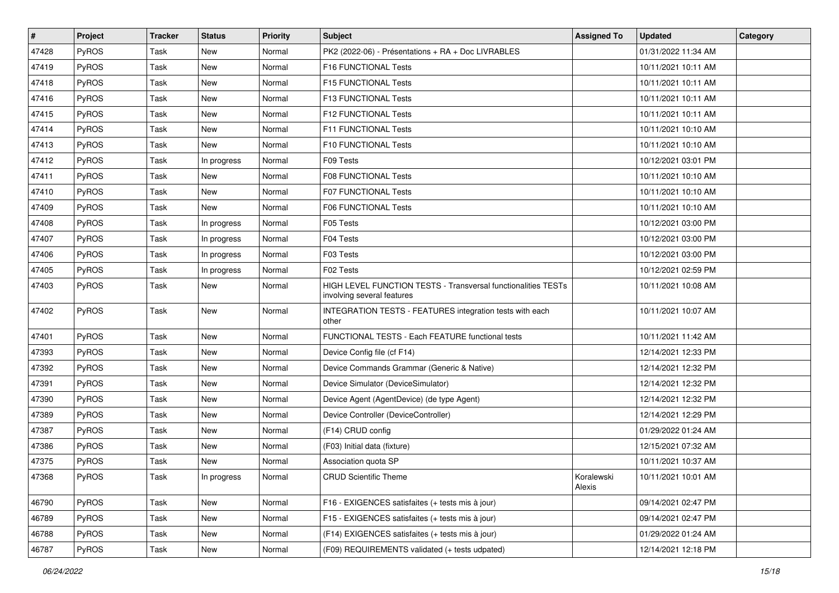| #     | Project      | <b>Tracker</b> | <b>Status</b> | <b>Priority</b> | <b>Subject</b>                                                                              | <b>Assigned To</b>   | <b>Updated</b>      | Category |
|-------|--------------|----------------|---------------|-----------------|---------------------------------------------------------------------------------------------|----------------------|---------------------|----------|
| 47428 | PyROS        | Task           | <b>New</b>    | Normal          | PK2 (2022-06) - Présentations + RA + Doc LIVRABLES                                          |                      | 01/31/2022 11:34 AM |          |
| 47419 | PyROS        | Task           | New           | Normal          | F16 FUNCTIONAL Tests                                                                        |                      | 10/11/2021 10:11 AM |          |
| 47418 | PyROS        | Task           | New           | Normal          | F15 FUNCTIONAL Tests                                                                        |                      | 10/11/2021 10:11 AM |          |
| 47416 | PyROS        | Task           | <b>New</b>    | Normal          | F13 FUNCTIONAL Tests                                                                        |                      | 10/11/2021 10:11 AM |          |
| 47415 | PyROS        | Task           | <b>New</b>    | Normal          | <b>F12 FUNCTIONAL Tests</b>                                                                 |                      | 10/11/2021 10:11 AM |          |
| 47414 | <b>PyROS</b> | Task           | New           | Normal          | F11 FUNCTIONAL Tests                                                                        |                      | 10/11/2021 10:10 AM |          |
| 47413 | PyROS        | Task           | <b>New</b>    | Normal          | F10 FUNCTIONAL Tests                                                                        |                      | 10/11/2021 10:10 AM |          |
| 47412 | PyROS        | Task           | In progress   | Normal          | F09 Tests                                                                                   |                      | 10/12/2021 03:01 PM |          |
| 47411 | PyROS        | Task           | <b>New</b>    | Normal          | <b>F08 FUNCTIONAL Tests</b>                                                                 |                      | 10/11/2021 10:10 AM |          |
| 47410 | PyROS        | Task           | <b>New</b>    | Normal          | F07 FUNCTIONAL Tests                                                                        |                      | 10/11/2021 10:10 AM |          |
| 47409 | PyROS        | Task           | <b>New</b>    | Normal          | F06 FUNCTIONAL Tests                                                                        |                      | 10/11/2021 10:10 AM |          |
| 47408 | PyROS        | Task           | In progress   | Normal          | F05 Tests                                                                                   |                      | 10/12/2021 03:00 PM |          |
| 47407 | PyROS        | Task           | In progress   | Normal          | F04 Tests                                                                                   |                      | 10/12/2021 03:00 PM |          |
| 47406 | PyROS        | Task           | In progress   | Normal          | F03 Tests                                                                                   |                      | 10/12/2021 03:00 PM |          |
| 47405 | PyROS        | Task           | In progress   | Normal          | F02 Tests                                                                                   |                      | 10/12/2021 02:59 PM |          |
| 47403 | PyROS        | Task           | New           | Normal          | HIGH LEVEL FUNCTION TESTS - Transversal functionalities TESTs<br>involving several features |                      | 10/11/2021 10:08 AM |          |
| 47402 | PyROS        | Task           | <b>New</b>    | Normal          | INTEGRATION TESTS - FEATURES integration tests with each<br>other                           |                      | 10/11/2021 10:07 AM |          |
| 47401 | PyROS        | Task           | <b>New</b>    | Normal          | FUNCTIONAL TESTS - Each FEATURE functional tests                                            |                      | 10/11/2021 11:42 AM |          |
| 47393 | PyROS        | Task           | <b>New</b>    | Normal          | Device Config file (cf F14)                                                                 |                      | 12/14/2021 12:33 PM |          |
| 47392 | PyROS        | Task           | <b>New</b>    | Normal          | Device Commands Grammar (Generic & Native)                                                  |                      | 12/14/2021 12:32 PM |          |
| 47391 | PyROS        | Task           | <b>New</b>    | Normal          | Device Simulator (DeviceSimulator)                                                          |                      | 12/14/2021 12:32 PM |          |
| 47390 | <b>PyROS</b> | Task           | New           | Normal          | Device Agent (AgentDevice) (de type Agent)                                                  |                      | 12/14/2021 12:32 PM |          |
| 47389 | PyROS        | Task           | New           | Normal          | Device Controller (DeviceController)                                                        |                      | 12/14/2021 12:29 PM |          |
| 47387 | PyROS        | Task           | <b>New</b>    | Normal          | (F14) CRUD config                                                                           |                      | 01/29/2022 01:24 AM |          |
| 47386 | <b>PyROS</b> | Task           | <b>New</b>    | Normal          | (F03) Initial data (fixture)                                                                |                      | 12/15/2021 07:32 AM |          |
| 47375 | <b>PyROS</b> | Task           | New           | Normal          | Association quota SP                                                                        |                      | 10/11/2021 10:37 AM |          |
| 47368 | PyROS        | Task           | In progress   | Normal          | <b>CRUD Scientific Theme</b>                                                                | Koralewski<br>Alexis | 10/11/2021 10:01 AM |          |
| 46790 | PyROS        | Task           | New           | Normal          | F16 - EXIGENCES satisfaites (+ tests mis à jour)                                            |                      | 09/14/2021 02:47 PM |          |
| 46789 | <b>PyROS</b> | Task           | New           | Normal          | F15 - EXIGENCES satisfaites (+ tests mis à jour)                                            |                      | 09/14/2021 02:47 PM |          |
| 46788 | PyROS        | Task           | New           | Normal          | (F14) EXIGENCES satisfaites (+ tests mis à jour)                                            |                      | 01/29/2022 01:24 AM |          |
| 46787 | PyROS        | Task           | New           | Normal          | (F09) REQUIREMENTS validated (+ tests udpated)                                              |                      | 12/14/2021 12:18 PM |          |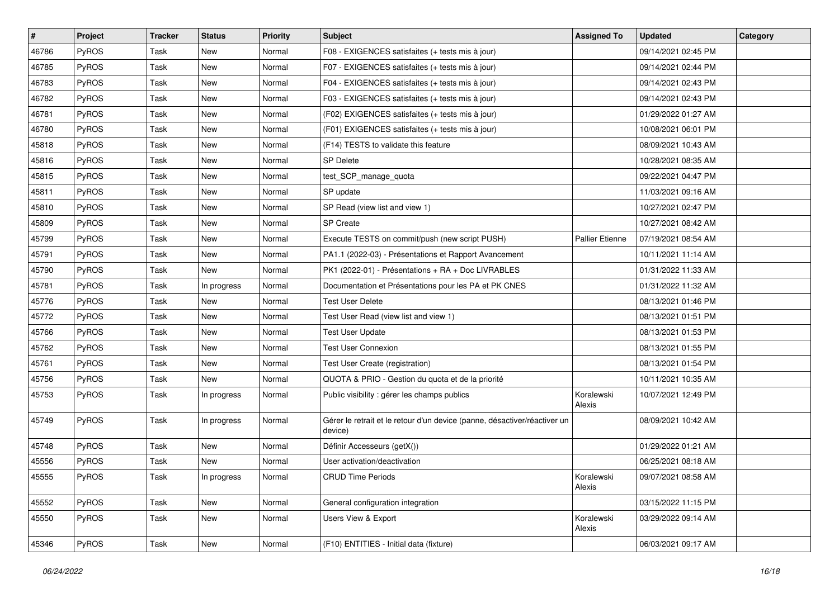| $\#$  | Project      | <b>Tracker</b> | <b>Status</b> | <b>Priority</b> | <b>Subject</b>                                                                       | <b>Assigned To</b>     | <b>Updated</b>      | Category |
|-------|--------------|----------------|---------------|-----------------|--------------------------------------------------------------------------------------|------------------------|---------------------|----------|
| 46786 | <b>PyROS</b> | Task           | New           | Normal          | F08 - EXIGENCES satisfaites (+ tests mis à jour)                                     |                        | 09/14/2021 02:45 PM |          |
| 46785 | PyROS        | Task           | New           | Normal          | F07 - EXIGENCES satisfaites (+ tests mis à jour)                                     |                        | 09/14/2021 02:44 PM |          |
| 46783 | PyROS        | Task           | New           | Normal          | F04 - EXIGENCES satisfaites (+ tests mis à jour)                                     |                        | 09/14/2021 02:43 PM |          |
| 46782 | PyROS        | Task           | <b>New</b>    | Normal          | F03 - EXIGENCES satisfaites (+ tests mis à jour)                                     |                        | 09/14/2021 02:43 PM |          |
| 46781 | PyROS        | Task           | New           | Normal          | (F02) EXIGENCES satisfaites (+ tests mis à jour)                                     |                        | 01/29/2022 01:27 AM |          |
| 46780 | PyROS        | Task           | New           | Normal          | (F01) EXIGENCES satisfaites (+ tests mis à jour)                                     |                        | 10/08/2021 06:01 PM |          |
| 45818 | PyROS        | Task           | <b>New</b>    | Normal          | (F14) TESTS to validate this feature                                                 |                        | 08/09/2021 10:43 AM |          |
| 45816 | <b>PyROS</b> | Task           | New           | Normal          | <b>SP Delete</b>                                                                     |                        | 10/28/2021 08:35 AM |          |
| 45815 | PyROS        | Task           | New           | Normal          | test_SCP_manage_quota                                                                |                        | 09/22/2021 04:47 PM |          |
| 45811 | <b>PyROS</b> | Task           | <b>New</b>    | Normal          | SP update                                                                            |                        | 11/03/2021 09:16 AM |          |
| 45810 | PyROS        | Task           | New           | Normal          | SP Read (view list and view 1)                                                       |                        | 10/27/2021 02:47 PM |          |
| 45809 | PyROS        | Task           | <b>New</b>    | Normal          | <b>SP Create</b>                                                                     |                        | 10/27/2021 08:42 AM |          |
| 45799 | PyROS        | Task           | New           | Normal          | Execute TESTS on commit/push (new script PUSH)                                       | <b>Pallier Etienne</b> | 07/19/2021 08:54 AM |          |
| 45791 | PyROS        | Task           | New           | Normal          | PA1.1 (2022-03) - Présentations et Rapport Avancement                                |                        | 10/11/2021 11:14 AM |          |
| 45790 | PyROS        | Task           | New           | Normal          | PK1 (2022-01) - Présentations + RA + Doc LIVRABLES                                   |                        | 01/31/2022 11:33 AM |          |
| 45781 | PyROS        | Task           | In progress   | Normal          | Documentation et Présentations pour les PA et PK CNES                                |                        | 01/31/2022 11:32 AM |          |
| 45776 | PyROS        | Task           | <b>New</b>    | Normal          | <b>Test User Delete</b>                                                              |                        | 08/13/2021 01:46 PM |          |
| 45772 | PyROS        | Task           | New           | Normal          | Test User Read (view list and view 1)                                                |                        | 08/13/2021 01:51 PM |          |
| 45766 | <b>PyROS</b> | Task           | New           | Normal          | <b>Test User Update</b>                                                              |                        | 08/13/2021 01:53 PM |          |
| 45762 | PyROS        | Task           | <b>New</b>    | Normal          | <b>Test User Connexion</b>                                                           |                        | 08/13/2021 01:55 PM |          |
| 45761 | PyROS        | Task           | New           | Normal          | Test User Create (registration)                                                      |                        | 08/13/2021 01:54 PM |          |
| 45756 | PyROS        | Task           | New           | Normal          | QUOTA & PRIO - Gestion du quota et de la priorité                                    |                        | 10/11/2021 10:35 AM |          |
| 45753 | PyROS        | Task           | In progress   | Normal          | Public visibility : gérer les champs publics                                         | Koralewski<br>Alexis   | 10/07/2021 12:49 PM |          |
| 45749 | PyROS        | Task           | In progress   | Normal          | Gérer le retrait et le retour d'un device (panne, désactiver/réactiver un<br>device) |                        | 08/09/2021 10:42 AM |          |
| 45748 | PyROS        | Task           | New           | Normal          | Définir Accesseurs (getX())                                                          |                        | 01/29/2022 01:21 AM |          |
| 45556 | PyROS        | Task           | <b>New</b>    | Normal          | User activation/deactivation                                                         |                        | 06/25/2021 08:18 AM |          |
| 45555 | PyROS        | Task           | In progress   | Normal          | <b>CRUD Time Periods</b>                                                             | Koralewski<br>Alexis   | 09/07/2021 08:58 AM |          |
| 45552 | PyROS        | Task           | New           | Normal          | General configuration integration                                                    |                        | 03/15/2022 11:15 PM |          |
| 45550 | PyROS        | Task           | New           | Normal          | Users View & Export                                                                  | Koralewski<br>Alexis   | 03/29/2022 09:14 AM |          |
| 45346 | PyROS        | Task           | New           | Normal          | (F10) ENTITIES - Initial data (fixture)                                              |                        | 06/03/2021 09:17 AM |          |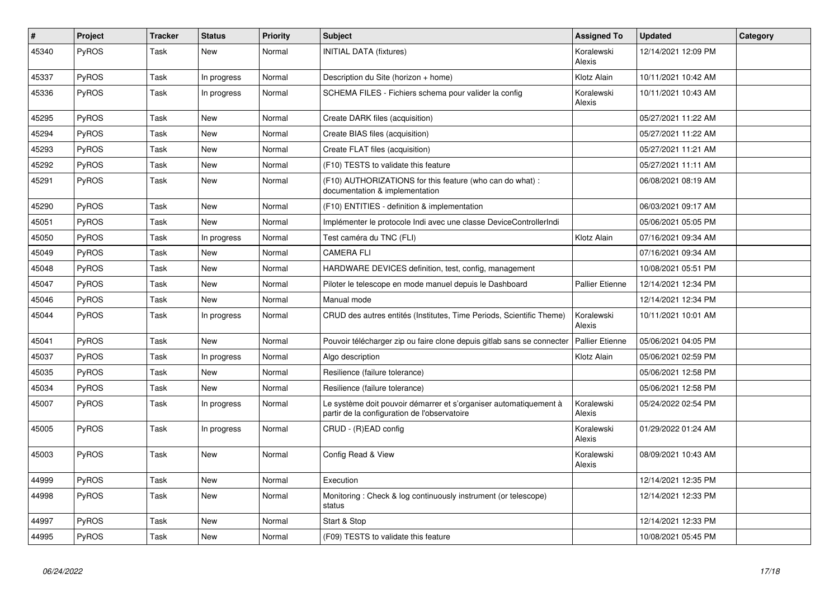| #     | <b>Project</b> | <b>Tracker</b> | <b>Status</b> | <b>Priority</b> | <b>Subject</b>                                                                                                    | <b>Assigned To</b>     | <b>Updated</b>      | Category |
|-------|----------------|----------------|---------------|-----------------|-------------------------------------------------------------------------------------------------------------------|------------------------|---------------------|----------|
| 45340 | PyROS          | Task           | New           | Normal          | <b>INITIAL DATA (fixtures)</b>                                                                                    | Koralewski<br>Alexis   | 12/14/2021 12:09 PM |          |
| 45337 | PyROS          | Task           | In progress   | Normal          | Description du Site (horizon + home)                                                                              | Klotz Alain            | 10/11/2021 10:42 AM |          |
| 45336 | PyROS          | Task           | In progress   | Normal          | SCHEMA FILES - Fichiers schema pour valider la config                                                             | Koralewski<br>Alexis   | 10/11/2021 10:43 AM |          |
| 45295 | <b>PyROS</b>   | Task           | <b>New</b>    | Normal          | Create DARK files (acquisition)                                                                                   |                        | 05/27/2021 11:22 AM |          |
| 45294 | PyROS          | Task           | <b>New</b>    | Normal          | Create BIAS files (acquisition)                                                                                   |                        | 05/27/2021 11:22 AM |          |
| 45293 | PyROS          | Task           | <b>New</b>    | Normal          | Create FLAT files (acquisition)                                                                                   |                        | 05/27/2021 11:21 AM |          |
| 45292 | PyROS          | Task           | <b>New</b>    | Normal          | (F10) TESTS to validate this feature                                                                              |                        | 05/27/2021 11:11 AM |          |
| 45291 | PyROS          | Task           | New           | Normal          | (F10) AUTHORIZATIONS for this feature (who can do what):<br>documentation & implementation                        |                        | 06/08/2021 08:19 AM |          |
| 45290 | <b>PyROS</b>   | Task           | <b>New</b>    | Normal          | (F10) ENTITIES - definition & implementation                                                                      |                        | 06/03/2021 09:17 AM |          |
| 45051 | <b>PyROS</b>   | Task           | <b>New</b>    | Normal          | Implémenter le protocole Indi avec une classe DeviceControllerIndi                                                |                        | 05/06/2021 05:05 PM |          |
| 45050 | <b>PyROS</b>   | Task           | In progress   | Normal          | Test caméra du TNC (FLI)                                                                                          | Klotz Alain            | 07/16/2021 09:34 AM |          |
| 45049 | <b>PyROS</b>   | Task           | <b>New</b>    | Normal          | <b>CAMERA FLI</b>                                                                                                 |                        | 07/16/2021 09:34 AM |          |
| 45048 | PyROS          | Task           | <b>New</b>    | Normal          | HARDWARE DEVICES definition, test, config, management                                                             |                        | 10/08/2021 05:51 PM |          |
| 45047 | PyROS          | Task           | New           | Normal          | Piloter le telescope en mode manuel depuis le Dashboard                                                           | <b>Pallier Etienne</b> | 12/14/2021 12:34 PM |          |
| 45046 | <b>PyROS</b>   | Task           | New           | Normal          | Manual mode                                                                                                       |                        | 12/14/2021 12:34 PM |          |
| 45044 | PyROS          | Task           | In progress   | Normal          | CRUD des autres entités (Institutes, Time Periods, Scientific Theme)                                              | Koralewski<br>Alexis   | 10/11/2021 10:01 AM |          |
| 45041 | PyROS          | Task           | New           | Normal          | Pouvoir télécharger zip ou faire clone depuis gitlab sans se connecter                                            | <b>Pallier Etienne</b> | 05/06/2021 04:05 PM |          |
| 45037 | PyROS          | Task           | In progress   | Normal          | Algo description                                                                                                  | Klotz Alain            | 05/06/2021 02:59 PM |          |
| 45035 | PyROS          | Task           | <b>New</b>    | Normal          | Resilience (failure tolerance)                                                                                    |                        | 05/06/2021 12:58 PM |          |
| 45034 | PyROS          | Task           | New           | Normal          | Resilience (failure tolerance)                                                                                    |                        | 05/06/2021 12:58 PM |          |
| 45007 | PyROS          | Task           | In progress   | Normal          | Le système doit pouvoir démarrer et s'organiser automatiquement à<br>partir de la configuration de l'observatoire | Koralewski<br>Alexis   | 05/24/2022 02:54 PM |          |
| 45005 | PyROS          | Task           | In progress   | Normal          | CRUD - (R)EAD config                                                                                              | Koralewski<br>Alexis   | 01/29/2022 01:24 AM |          |
| 45003 | PyROS          | Task           | <b>New</b>    | Normal          | Config Read & View                                                                                                | Koralewski<br>Alexis   | 08/09/2021 10:43 AM |          |
| 44999 | PyROS          | Task           | New           | Normal          | Execution                                                                                                         |                        | 12/14/2021 12:35 PM |          |
| 44998 | PyROS          | Task           | <b>New</b>    | Normal          | Monitoring: Check & log continuously instrument (or telescope)<br>status                                          |                        | 12/14/2021 12:33 PM |          |
| 44997 | PyROS          | Task           | New           | Normal          | Start & Stop                                                                                                      |                        | 12/14/2021 12:33 PM |          |
| 44995 | PyROS          | Task           | <b>New</b>    | Normal          | (F09) TESTS to validate this feature                                                                              |                        | 10/08/2021 05:45 PM |          |